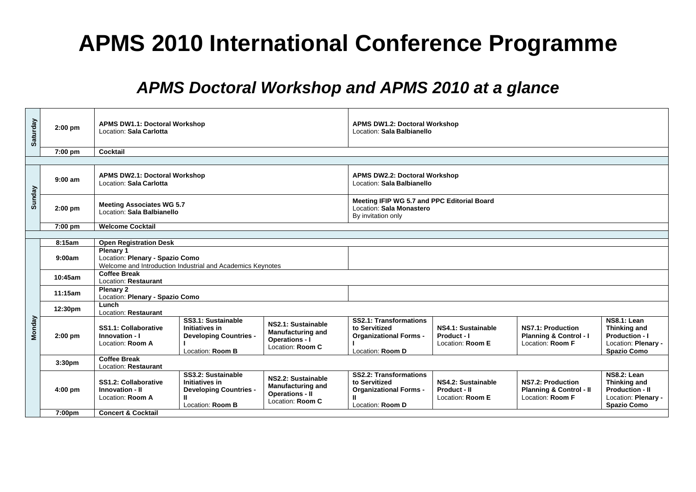## **APMS 2010 International Conference Programme**

## *APMS Doctoral Workshop and APMS 2010 at a glance*

| Saturday      | $2:00$ pm          | Location: Sala Carlotta                                                                                                                                                                                                                                              | <b>APMS DW1.1: Doctoral Workshop</b>                                                      |                                                                                             |                                                                                                          | <b>APMS DW1.2: Doctoral Workshop</b><br>Location: Sala Balbianello |                                                                                    |                                                                                                           |  |  |
|---------------|--------------------|----------------------------------------------------------------------------------------------------------------------------------------------------------------------------------------------------------------------------------------------------------------------|-------------------------------------------------------------------------------------------|---------------------------------------------------------------------------------------------|----------------------------------------------------------------------------------------------------------|--------------------------------------------------------------------|------------------------------------------------------------------------------------|-----------------------------------------------------------------------------------------------------------|--|--|
|               | 7:00 pm            | Cocktail                                                                                                                                                                                                                                                             |                                                                                           |                                                                                             |                                                                                                          |                                                                    |                                                                                    |                                                                                                           |  |  |
|               |                    |                                                                                                                                                                                                                                                                      |                                                                                           |                                                                                             |                                                                                                          |                                                                    |                                                                                    |                                                                                                           |  |  |
| Sunday        | $9:00$ am          | <b>APMS DW2.1: Doctoral Workshop</b><br>Location: Sala Carlotta                                                                                                                                                                                                      |                                                                                           |                                                                                             | <b>APMS DW2.2: Doctoral Workshop</b><br>Location: Sala Balbianello                                       |                                                                    |                                                                                    |                                                                                                           |  |  |
|               | $2:00$ pm          | <b>Meeting Associates WG 5.7</b><br>Location: Sala Balbianello                                                                                                                                                                                                       |                                                                                           |                                                                                             | Meeting IFIP WG 5.7 and PPC Editorial Board<br>Location: Sala Monastero<br>By invitation only            |                                                                    |                                                                                    |                                                                                                           |  |  |
|               | 7:00 pm            | <b>Welcome Cocktail</b>                                                                                                                                                                                                                                              |                                                                                           |                                                                                             |                                                                                                          |                                                                    |                                                                                    |                                                                                                           |  |  |
|               |                    |                                                                                                                                                                                                                                                                      |                                                                                           |                                                                                             |                                                                                                          |                                                                    |                                                                                    |                                                                                                           |  |  |
|               | 8:15am<br>9:00am   | <b>Open Registration Desk</b><br>Plenary 1<br>Location: Plenary - Spazio Como<br>Welcome and Introduction Industrial and Academics Keynotes                                                                                                                          |                                                                                           |                                                                                             |                                                                                                          |                                                                    |                                                                                    |                                                                                                           |  |  |
|               | 10:45am            | <b>Coffee Break</b><br>Location: Restaurant                                                                                                                                                                                                                          |                                                                                           |                                                                                             |                                                                                                          |                                                                    |                                                                                    |                                                                                                           |  |  |
|               | 11:15am            | Plenary 2<br>Location: Plenary - Spazio Como                                                                                                                                                                                                                         |                                                                                           |                                                                                             |                                                                                                          |                                                                    |                                                                                    |                                                                                                           |  |  |
|               | 12:30pm            | Lunch<br>Location: Restaurant                                                                                                                                                                                                                                        |                                                                                           |                                                                                             |                                                                                                          |                                                                    |                                                                                    |                                                                                                           |  |  |
| <b>Monday</b> | $2:00$ pm          | SS1.1: Collaborative<br>Innovation - I<br>Location: Room A                                                                                                                                                                                                           | SS3.1: Sustainable<br>Initiatives in<br><b>Developing Countries -</b><br>Location: Room B | NS2.1: Sustainable<br><b>Manufacturing and</b><br><b>Operations - I</b><br>Location: Room C | SS2.1: Transformations<br>to Servitized<br><b>Organizational Forms -</b><br>Location: Room D             | NS4.1: Sustainable<br>Product - I<br>Location: Room E              | NS7.1: Production<br><b>Planning &amp; Control - I</b><br>Location: Room F         | NS8.1: Lean<br><b>Thinking and</b><br><b>Production - I</b><br>Location: Plenary -<br><b>Spazio Como</b>  |  |  |
|               | 3:30 <sub>pm</sub> | <b>Coffee Break</b><br>Location: Restaurant                                                                                                                                                                                                                          |                                                                                           |                                                                                             |                                                                                                          |                                                                    |                                                                                    |                                                                                                           |  |  |
|               | $4:00$ pm          | SS3.2: Sustainable<br>NS2.2: Sustainable<br>SS1.2: Collaborative<br><b>Initiatives in</b><br><b>Manufacturing and</b><br>Innovation - II<br><b>Developing Countries -</b><br><b>Operations - II</b><br>Location: Room A<br>Ш<br>Location: Room C<br>Location: Room B |                                                                                           |                                                                                             | <b>SS2.2: Transformations</b><br>to Servitized<br><b>Organizational Forms -</b><br>Ш<br>Location: Room D | NS4.2: Sustainable<br>Product - II<br>Location: Room E             | <b>NS7.2: Production</b><br><b>Planning &amp; Control - II</b><br>Location: Room F | NS8.2: Lean<br><b>Thinking and</b><br><b>Production - II</b><br>Location: Plenary -<br><b>Spazio Como</b> |  |  |
|               | 7:00pm             | <b>Concert &amp; Cocktail</b>                                                                                                                                                                                                                                        |                                                                                           |                                                                                             |                                                                                                          |                                                                    |                                                                                    |                                                                                                           |  |  |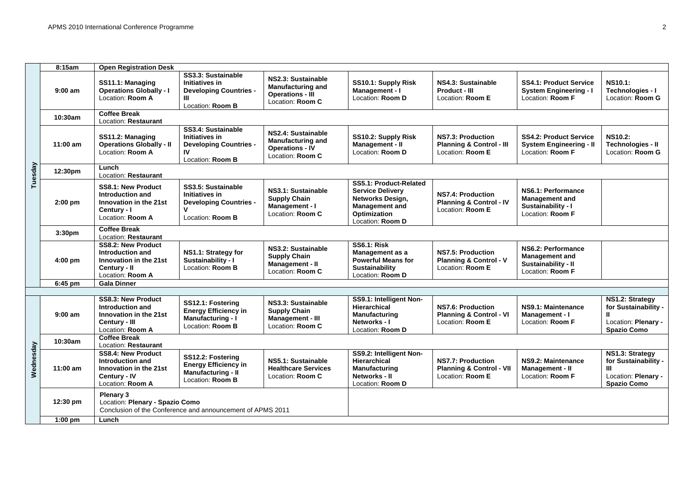|           | 8:15am             | <b>Open Registration Desk</b>                                                                                |                                                                                                          |                                                                                               |                                                                                                                                    |                                                                                                                                                                      |                                                                                        |                                                                                           |  |  |
|-----------|--------------------|--------------------------------------------------------------------------------------------------------------|----------------------------------------------------------------------------------------------------------|-----------------------------------------------------------------------------------------------|------------------------------------------------------------------------------------------------------------------------------------|----------------------------------------------------------------------------------------------------------------------------------------------------------------------|----------------------------------------------------------------------------------------|-------------------------------------------------------------------------------------------|--|--|
| Tuesday   | $9:00$ am          | SS11.1: Managing<br><b>Operations Globally - I</b><br>Location: Room A                                       | SS3.3: Sustainable<br>Initiatives in<br><b>Developing Countries -</b><br>Ш<br>Location: Room B           | NS2.3: Sustainable<br><b>Manufacturing and</b><br><b>Operations - III</b><br>Location: Room C | SS10.1: Supply Risk<br>Management - I<br>Location: Room D                                                                          | NS4.3: Sustainable<br>Product - III<br>Location: Room E                                                                                                              | <b>SS4.1: Product Service</b><br><b>System Engineering - I</b><br>Location: Room F     | <b>NS10.1:</b><br>Technologies - I<br>Location: Room G                                    |  |  |
|           | 10:30am            | <b>Coffee Break</b><br>Location: Restaurant                                                                  |                                                                                                          |                                                                                               |                                                                                                                                    |                                                                                                                                                                      |                                                                                        |                                                                                           |  |  |
|           | $11:00$ am         | SS11.2: Managing<br><b>Operations Globally - II</b><br>Location: Room A                                      | SS3.4: Sustainable<br><b>Initiatives in</b><br><b>Developing Countries -</b><br>IV<br>Location: Room B   | NS2.4: Sustainable<br><b>Manufacturing and</b><br><b>Operations - IV</b><br>Location: Room C  | SS10.2: Supply Risk<br>Management - II<br>Location: Room D                                                                         | NS7.3: Production<br><b>Planning &amp; Control - III</b><br>Location: Room E                                                                                         | <b>SS4.2: Product Service</b><br><b>System Engineering - II</b><br>Location: Room F    | <b>NS10.2:</b><br>Technologies - II<br>Location: Room G                                   |  |  |
|           | 12:30pm            | Lunch<br>Location: Restaurant                                                                                |                                                                                                          |                                                                                               |                                                                                                                                    |                                                                                                                                                                      |                                                                                        |                                                                                           |  |  |
|           | $2:00$ pm          | <b>SS8.1: New Product</b><br>Introduction and<br>Innovation in the 21st<br>Century - I<br>Location: Room A   | SS3.5: Sustainable<br>Initiatives in<br><b>Developing Countries -</b><br>$\mathbf v$<br>Location: Room B | NS3.1: Sustainable<br><b>Supply Chain</b><br>Management - I<br>Location: Room C               | SS5.1: Product-Related<br><b>Service Delivery</b><br>Networks Design,<br><b>Management and</b><br>Optimization<br>Location: Room D | NS6.1: Performance<br>NS7.4: Production<br><b>Management and</b><br><b>Planning &amp; Control - IV</b><br>Sustainability - I<br>Location: Room E<br>Location: Room F |                                                                                        |                                                                                           |  |  |
|           | 3:30 <sub>pm</sub> | <b>Coffee Break</b><br>Location: Restaurant                                                                  |                                                                                                          |                                                                                               |                                                                                                                                    |                                                                                                                                                                      |                                                                                        |                                                                                           |  |  |
|           | $4:00 \text{ pm}$  | <b>SS8.2: New Product</b><br>Introduction and<br>Innovation in the 21st<br>Century - II<br>Location: Room A  | NS1.1: Strategy for<br>Sustainability - I<br>Location: Room B                                            | NS3.2: Sustainable<br><b>Supply Chain</b><br><b>Management - II</b><br>Location: Room C       | <b>SS6.1: Risk</b><br>Management as a<br><b>Powerful Means for</b><br>Sustainability<br>Location: Room D                           | <b>NS7.5: Production</b><br><b>Planning &amp; Control - V</b><br>Location: Room E                                                                                    | NS6.2: Performance<br><b>Management and</b><br>Sustainability - II<br>Location: Room F |                                                                                           |  |  |
|           | 6:45 pm            | <b>Gala Dinner</b>                                                                                           |                                                                                                          |                                                                                               |                                                                                                                                    |                                                                                                                                                                      |                                                                                        |                                                                                           |  |  |
|           | $9:00$ am          | <b>SS8.3: New Product</b><br>Introduction and<br>Innovation in the 21st<br>Century - III<br>Location: Room A | SS12.1: Fostering<br><b>Energy Efficiency in</b><br><b>Manufacturing - I</b><br>Location: Room B         | NS3.3: Sustainable<br><b>Supply Chain</b><br><b>Management - III</b><br>Location: Room C      | SS9.1: Intelligent Non-<br>Hierarchical<br>Manufacturing<br>Networks - I<br>Location: Room D                                       | <b>NS7.6: Production</b><br><b>Planning &amp; Control - VI</b><br>Location: Room E                                                                                   | NS9.1: Maintenance<br>Management - I<br>Location: Room F                               | NS1.2: Strategy<br>for Sustainability -<br>Location: Plenary -<br><b>Spazio Como</b>      |  |  |
|           | 10:30am            | <b>Coffee Break</b><br>Location: Restaurant                                                                  |                                                                                                          |                                                                                               |                                                                                                                                    |                                                                                                                                                                      |                                                                                        |                                                                                           |  |  |
| Wednesday | $11:00$ am         | <b>SS8.4: New Product</b><br>Introduction and<br>Innovation in the 21st<br>Century - IV<br>Location: Room A  | SS12.2: Fostering<br><b>Energy Efficiency in</b><br><b>Manufacturing - II</b><br>Location: Room B        | NS5.1: Sustainable<br><b>Healthcare Services</b><br>Location: Room C                          | SS9.2: Intelligent Non-<br><b>Hierarchical</b><br><b>Manufacturing</b><br>Networks - II<br>Location: Room D                        | <b>NS7.7: Production</b><br><b>Planning &amp; Control - VII</b><br>Location: Room E                                                                                  | NS9.2: Maintenance<br>Management - II<br>Location: Room F                              | NS1.3: Strategy<br>for Sustainability -<br>Ш<br>Location: Plenary -<br><b>Spazio Como</b> |  |  |
|           | 12:30 pm           | Plenary 3<br>Location: Plenary - Spazio Como<br>Conclusion of the Conference and announcement of APMS 2011   |                                                                                                          |                                                                                               |                                                                                                                                    |                                                                                                                                                                      |                                                                                        |                                                                                           |  |  |
|           | $1:00$ pm          | Lunch                                                                                                        |                                                                                                          |                                                                                               |                                                                                                                                    |                                                                                                                                                                      |                                                                                        |                                                                                           |  |  |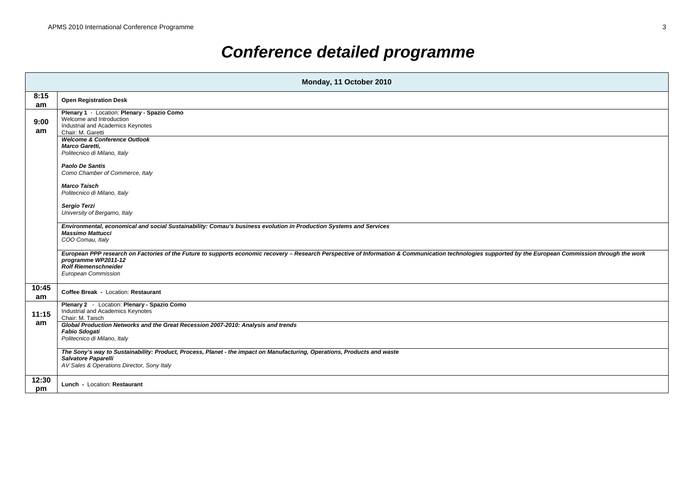## *Conference detailed programme*

|             | Monday, 11 October 2010                                                                                                                                                                                                                                                              |  |  |  |  |  |  |  |  |
|-------------|--------------------------------------------------------------------------------------------------------------------------------------------------------------------------------------------------------------------------------------------------------------------------------------|--|--|--|--|--|--|--|--|
| 8:15<br>am  | <b>Open Registration Desk</b>                                                                                                                                                                                                                                                        |  |  |  |  |  |  |  |  |
| 9:00<br>am  | Plenary 1 - Location: Plenary - Spazio Como<br>Welcome and Introduction<br>Industrial and Academics Keynotes<br>Chair: M. Garetti                                                                                                                                                    |  |  |  |  |  |  |  |  |
|             | <b>Welcome &amp; Conference Outlook</b><br>Marco Garetti,<br>Politecnico di Milano, Italy                                                                                                                                                                                            |  |  |  |  |  |  |  |  |
|             | Paolo De Santis<br>Como Chamber of Commerce, Italy                                                                                                                                                                                                                                   |  |  |  |  |  |  |  |  |
|             | <b>Marco Taisch</b><br>Politecnico di Milano, Italy                                                                                                                                                                                                                                  |  |  |  |  |  |  |  |  |
|             | Sergio Terzi<br>University of Bergamo, Italy                                                                                                                                                                                                                                         |  |  |  |  |  |  |  |  |
|             | Environmental, economical and social Sustainability: Comau's business evolution in Production Systems and Services<br><b>Massimo Mattucci</b><br>COO Comau, Italy                                                                                                                    |  |  |  |  |  |  |  |  |
|             | European PPP research on Factories of the Future to supports economic recovery - Research Perspective of Information & Communication technologies supported by the European Commission through the work<br>programme WP2011-12<br><b>Rolf Riemenschneider</b><br>European Commission |  |  |  |  |  |  |  |  |
| 10:45<br>am | Coffee Break - Location: Restaurant                                                                                                                                                                                                                                                  |  |  |  |  |  |  |  |  |
| 11:15<br>am | Plenary 2 - Location: Plenary - Spazio Como<br>Industrial and Academics Keynotes<br>Chair: M. Taisch                                                                                                                                                                                 |  |  |  |  |  |  |  |  |
|             | Global Production Networks and the Great Recession 2007-2010: Analysis and trends<br><b>Fabio Sdogati</b><br>Politecnico di Milano, Italy                                                                                                                                            |  |  |  |  |  |  |  |  |
|             | The Sony's way to Sustainability: Product, Process, Planet - the impact on Manufacturing, Operations, Products and waste<br>Salvatore Paparelli<br>AV Sales & Operations Director, Sony Italy                                                                                        |  |  |  |  |  |  |  |  |
| 12:30<br>pm | Lunch - Location: Restaurant                                                                                                                                                                                                                                                         |  |  |  |  |  |  |  |  |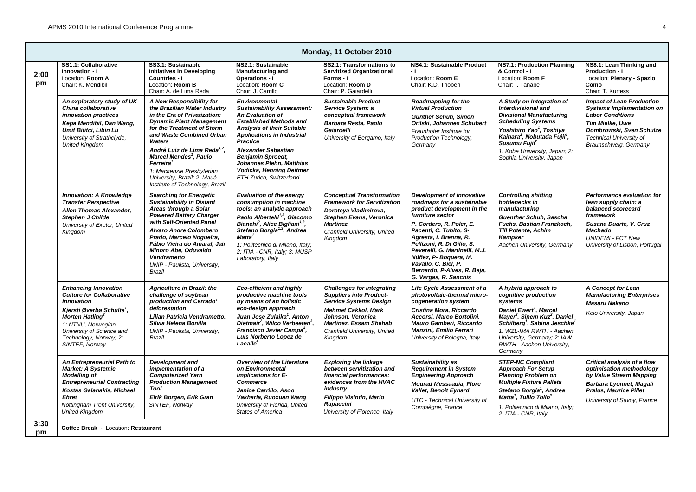| Monday, 11 October 2010                                                                                                                                                                                                                                     |                                                                                                                                                                                                                                                                                                                                                                                                           |                                                                                                                                                                                                                                                                                                                                                                  |                                                                                                                                                                                                                              |                                                                                                                                                                                                                                                                                                                                                                    |                                                                                                                                                                                                                                                                                                                  |                                                                                                                                                                                                                  |  |  |  |
|-------------------------------------------------------------------------------------------------------------------------------------------------------------------------------------------------------------------------------------------------------------|-----------------------------------------------------------------------------------------------------------------------------------------------------------------------------------------------------------------------------------------------------------------------------------------------------------------------------------------------------------------------------------------------------------|------------------------------------------------------------------------------------------------------------------------------------------------------------------------------------------------------------------------------------------------------------------------------------------------------------------------------------------------------------------|------------------------------------------------------------------------------------------------------------------------------------------------------------------------------------------------------------------------------|--------------------------------------------------------------------------------------------------------------------------------------------------------------------------------------------------------------------------------------------------------------------------------------------------------------------------------------------------------------------|------------------------------------------------------------------------------------------------------------------------------------------------------------------------------------------------------------------------------------------------------------------------------------------------------------------|------------------------------------------------------------------------------------------------------------------------------------------------------------------------------------------------------------------|--|--|--|
| SS1.1: Collaborative<br>Innovation - I<br>Location: Room A<br>Chair: K. Mendibil                                                                                                                                                                            | SS3.1: Sustainable<br><b>Initiatives in Developing</b><br>Countries - I<br>Location: Room B<br>Chair: A. de Lima Reda                                                                                                                                                                                                                                                                                     | NS2.1: Sustainable<br><b>Manufacturing and</b><br><b>Operations - I</b><br>Location: Room C<br>Chair: J. Carrillo                                                                                                                                                                                                                                                | SS2.1: Transformations to<br><b>Servitized Organizational</b><br>Forms - I<br>Location: Room D<br>Chair: P. Gaiardelli                                                                                                       | NS4.1: Sustainable Product<br>- 11<br>Location: Room E<br>Chair: K.D. Thoben                                                                                                                                                                                                                                                                                       | <b>NS7.1: Production Planning</b><br>& Control - I<br>Location: Room F<br>Chair: I. Tanabe                                                                                                                                                                                                                       | NS8.1: Lean Thinking and<br><b>Production - I</b><br>Location: Plenary - Spazio<br>Como<br>Chair: T. Kurfess                                                                                                     |  |  |  |
| An exploratory study of UK-<br>China collaborative<br>innovation practices<br>Kepa Mendibil, Dan Wang,<br>Umit Bititci, Libin Lu<br>University of Strathclyde,<br><b>United Kingdom</b>                                                                     | A New Responsibility for<br>the Brazilian Water Industry<br>in the Era of Privatization:<br><b>Dynamic Plant Management</b><br>for the Treatment of Storm<br>and Waste Combined Urban<br>Waters<br>André Luiz de Lima Reda <sup>1,2</sup> ,<br>Marcel Mendes <sup>1</sup> , Paulo<br>Ferreira <sup>1</sup><br>1: Mackenzie Presbyterian<br>University, Brazil; 2: Mauá<br>Institute of Technology, Brazil | <b>Environmental</b><br><b>Sustainability Assessment:</b><br><b>An Evaluation of</b><br><b>Established Methods and</b><br><b>Analysis of their Suitable</b><br><b>Applications in Industrial</b><br><b>Practice</b><br><b>Alexander Sebastian</b><br><b>Benjamin Sproedt,</b><br>Johannes Plehn, Matthias<br>Vodicka, Henning Deitmer<br>ETH Zurich, Switzerland | <b>Sustainable Product</b><br>Service System: a<br>conceptual framework<br>Barbara Resta, Paolo<br>Gaiardelli<br>University of Bergamo, Italy                                                                                | Roadmapping for the<br><b>Virtual Production</b><br>Günther Schuh, Simon<br>Orilski, Johannes Schubert<br>Fraunhofer Institute for<br>Production Technology,<br>Germany                                                                                                                                                                                            | A Study on Integration of<br>Interdivisional and<br><b>Divisional Manufacturing</b><br><b>Scheduling Systems</b><br>Yoshihiro Yao <sup>1</sup> , Toshiya<br>Kaihara <sup>1</sup> , Nobutada Fujii <sup>1</sup> ,<br>Susumu Fuiii <sup>2</sup><br>1: Kobe University, Japan; 2:<br>Sophia University, Japan       | <b>Impact of Lean Production</b><br><b>Systems Implementation on</b><br><b>Labor Conditions</b><br><b>Tim Mielke, Uwe</b><br>Dombrowski, Sven Schulze<br><b>Technical University of</b><br>Braunschweig, Germany |  |  |  |
| <b>Innovation: A Knowledge</b><br><b>Transfer Perspective</b><br>Allen Thomas Alexander,<br><b>Stephen J Childe</b><br>University of Exeter, United<br>Kingdom                                                                                              | <b>Searching for Energetic</b><br><b>Sustainability in Distant</b><br>Areas through a Solar<br><b>Powered Battery Charger</b><br>with Self-Oriented Panel<br><b>Alvaro Andre Colombero</b><br>Prado, Marcelo Nogueira,<br>Fábio Vieira do Amaral, Jair<br>Minoro Abe, Oduvaldo<br>Vendrametto<br>UNIP - Paulista, University,<br>Brazil                                                                   | <b>Evaluation of the energy</b><br>consumption in machine<br>tools: an analytic approach<br>Paolo Albertelli <sup>1,3</sup> , Giacomo<br>Bianchi <sup>2</sup> , Alice Bigliani <sup>1,3</sup> ,<br>Stefano Borgia <sup>1,3</sup> , Andrea<br>$\mathit{Matta}^1$<br>1: Politecnico di Milano, Italy;<br>2: ITIA - CNR, Italy; 3: MUSP<br>Laboratory, Italy        | <b>Conceptual Transformation</b><br><b>Framework for Servitization</b><br>Doroteya Vladimirova,<br>Stephen Evans, Veronica<br><b>Martinez</b><br>Cranfield University, United<br>Kingdom                                     | Development of innovative<br>roadmaps for a sustainable<br>product development in the<br>furniture sector<br>P. Cordero, R. Poler, E.<br>Pacenti, C. Tubito, S-<br>Agresta, I. Brenna, R.<br>Pellizoni, R. Di Gilio, S.<br>Peverelli, G. Martinelli, M.J.<br>Núñez, P- Boquera, M.<br>Vavallo, C. Biel, P.<br>Bernardo, P-Alves, R. Beja,<br>G. Vargas, R. Sanchis | <b>Controlling shifting</b><br>bottlenecks in<br>manufacturing<br><b>Guenther Schuh, Sascha</b><br>Fuchs, Bastian Franzkoch,<br><b>Till Potente, Achim</b><br>Kampker<br>Aachen University, Germany                                                                                                              | Performance evaluation for<br>lean supply chain: a<br>balanced scorecard<br>framework<br>Susana Duarte, V. Cruz<br><b>Machado</b><br><b>UNIDEMI - FCT New</b><br>University of Lisbon, Portugal                  |  |  |  |
| <b>Enhancing Innovation</b><br><b>Culture for Collaborative</b><br><b>Innovation</b><br>Kjersti Øverbø Schulte <sup>1</sup> ,<br>Morten Hatling <sup>2</sup><br>1: NTNU, Norwegian<br>University of Science and<br>Technology, Norway; 2:<br>SINTEF, Norway | <b>Agriculture in Brazil: the</b><br>challenge of soybean<br>production and Cerrado'<br>deforestation<br>Lilian Patricia Vendrametto,<br>Silvia Helena Bonilla<br>UNIP - Paulista, University,<br>Brazil                                                                                                                                                                                                  | <b>Eco-efficient and highly</b><br>productive machine tools<br>by means of an holistic<br>eco-design approach<br>Juan Jose Zulaika <sup>1</sup> , Anton<br>Dietmair <sup>2</sup> , Wilco Verbeeten <sup>3</sup> ,<br>Francisco Javier Campa <sup>4</sup> .<br>Luis Norberto Lopez de<br>Lacalle <sup>4</sup>                                                     | <b>Challenges for Integrating</b><br><b>Suppliers into Product-</b><br><b>Service Systems Design</b><br><b>Mehmet Cakkol, Mark</b><br>Johnson, Veronica<br>Martinez, Essam Shehab<br>Cranfield University, United<br>Kinadom | Life Cycle Assessment of a<br>photovoltaic-thermal micro-<br>cogeneration system<br>Cristina Mora, Riccardo<br>Accorsi, Marco Bortolini,<br>Mauro Gamberi, Riccardo<br>Manzini, Emilio Ferrari<br>University of Bologna, Italy                                                                                                                                     | A hybrid approach to<br>cognitive production<br>systems<br>Daniel Ewert <sup>1</sup> , Marcel<br>Mayer <sup>2</sup> , Sinem Kuz <sup>2</sup> , Daniel<br>Schilberg <sup>1</sup> , Sabina Jeschke <sup>1</sup><br>1: WZL-IMA RWTH - Aachen<br>University, Germany; 2: IAW<br>RWTH - Aachen University,<br>Germany | A Concept for Lean<br><b>Manufacturing Enterprises</b><br><b>Masaru Nakano</b><br>Keio University, Japan                                                                                                         |  |  |  |
| An Entrepreneurial Path to<br><b>Market: A Systemic</b><br><b>Modelling of</b><br><b>Entrepreneurial Contracting</b><br>Kostas Galanakis, Michael<br><b>Ehret</b><br>Nottingham Trent University,<br><b>United Kingdom</b>                                  | <b>Development and</b><br>implementation of a<br><b>Computerized Yarn</b><br><b>Production Management</b><br>Tool<br>Eirik Borgen, Erik Gran<br>SINTEF, Norway                                                                                                                                                                                                                                            | <b>Overview of the Literature</b><br>on Environmental<br>Implications for E-<br><b>Commerce</b><br>Janice Carrillo, Asoo<br>Vakharia, Ruoxuan Wang<br>University of Florida, United<br><b>States of America</b>                                                                                                                                                  | <b>Exploring the linkage</b><br>between servitization and<br>financial performances:<br>evidences from the HVAC<br>industry<br>Filippo Visintin, Mario<br>Rapaccini<br>University of Florence, Italy                         | Sustainability as<br><b>Requirement in System</b><br><b>Engineering Approach</b><br><b>Mourad Messaadia, Flore</b><br>Vallet, Benoit Eynard<br>UTC - Technical University of<br>Compiègne, France                                                                                                                                                                  | <b>STEP-NC Compliant</b><br><b>Approach For Setup</b><br><b>Planning Problem on</b><br><b>Multiple Fixture Pallets</b><br>Stefano Borgia <sup>1</sup> , Andrea<br>Matta <sup>1</sup> . Tullio Tolio <sup>2</sup><br>1: Politecnico di Milano, Italy;<br>2: ITIA - CNR, Italy                                     | Critical analysis of a flow<br>optimisation methodology<br>by Value Stream Mapping<br>Barbara Lyonnet, Magali<br><b>Pralus, Maurice Pillet</b><br>University of Savoy, France                                    |  |  |  |
|                                                                                                                                                                                                                                                             |                                                                                                                                                                                                                                                                                                                                                                                                           | Coffee Break - Location: Restaurant                                                                                                                                                                                                                                                                                                                              |                                                                                                                                                                                                                              |                                                                                                                                                                                                                                                                                                                                                                    |                                                                                                                                                                                                                                                                                                                  |                                                                                                                                                                                                                  |  |  |  |

**pm C**ocation: **Restaura**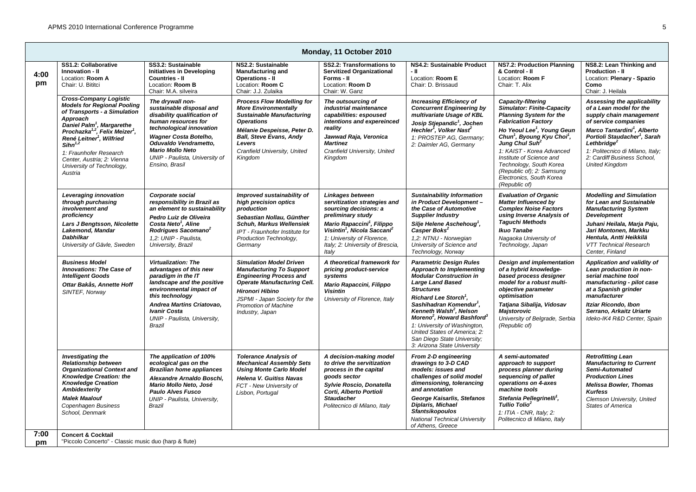|            | Monday, 11 October 2010                                                                                                                                                                                                                                                                                                                                                    |                                                                                                                                                                                                                                                                        |                                                                                                                                                                                                                                                 |                                                                                                                                                                                                                                                                            |                                                                                                                                                                                                                                                                                                                                                                                                                                                     |                                                                                                                                                                                                                                                                                                                                                                                                                     |                                                                                                                                                                                                                                                                                                                         |  |  |
|------------|----------------------------------------------------------------------------------------------------------------------------------------------------------------------------------------------------------------------------------------------------------------------------------------------------------------------------------------------------------------------------|------------------------------------------------------------------------------------------------------------------------------------------------------------------------------------------------------------------------------------------------------------------------|-------------------------------------------------------------------------------------------------------------------------------------------------------------------------------------------------------------------------------------------------|----------------------------------------------------------------------------------------------------------------------------------------------------------------------------------------------------------------------------------------------------------------------------|-----------------------------------------------------------------------------------------------------------------------------------------------------------------------------------------------------------------------------------------------------------------------------------------------------------------------------------------------------------------------------------------------------------------------------------------------------|---------------------------------------------------------------------------------------------------------------------------------------------------------------------------------------------------------------------------------------------------------------------------------------------------------------------------------------------------------------------------------------------------------------------|-------------------------------------------------------------------------------------------------------------------------------------------------------------------------------------------------------------------------------------------------------------------------------------------------------------------------|--|--|
| 4:00<br>pm | SS1.2: Collaborative<br>Innovation - II<br>Location: Room A<br>Chair: U. Bititci                                                                                                                                                                                                                                                                                           | SS3.2: Sustainable<br>Initiatives in Developing<br><b>Countries - II</b><br>Location: Room B<br>Chair: M.A. silveira                                                                                                                                                   | NS2.2: Sustainable<br><b>Manufacturing and</b><br><b>Operations - II</b><br>Location: Room C<br>Chair: J.J. Zulaika                                                                                                                             | <b>SS2.2: Transformations to</b><br><b>Servitized Organizational</b><br>Forms - II<br>Location: Room D<br>Chair: W. Ganz                                                                                                                                                   | NS4.2: Sustainable Product<br>- 11<br>Location: Room E<br>Chair: D. Brissaud                                                                                                                                                                                                                                                                                                                                                                        | NS7.2: Production Planning<br>& Control - II<br>Location: Room F<br>Chair: T. Alix                                                                                                                                                                                                                                                                                                                                  | NS8.2: Lean Thinking and<br>Production - II<br>Location: Plenary - Spazio<br>Como<br>Chair: J. Heilala                                                                                                                                                                                                                  |  |  |
|            | <b>Cross-Company Logistic</b><br><b>Models for Regional Pooling</b><br>of Transports - a Simulation<br>Approach<br>Daniel Palm <sup>1</sup> , Margarethe<br>Prochazka <sup>1,2</sup> , Felix Meizer <sup>1</sup> ,<br>René Leitner <sup>1</sup> , Wilfried<br>$Sihn^{1,2}$<br>1: Fraunhofer Research<br>Center, Austria: 2: Vienna<br>University of Technology,<br>Austria | The drywall non-<br>sustainable disposal and<br>disability qualification of<br>human resources for<br>technological innovation<br><b>Wagner Costa Botelho,</b><br>Oduvaldo Vendrametto,<br><b>Mario Mollo Neto</b><br>UNIP - Paulista, University of<br>Ensino, Brasil | <b>Process Flow Modelling for</b><br><b>More Environmentally</b><br><b>Sustainable Manufacturing</b><br><b>Operations</b><br>Mélanie Despeisse, Peter D.<br><b>Ball, Steve Evans, Andy</b><br>Levers<br>Cranfield University, United<br>Kingdom | The outsourcing of<br>industrial maintenance<br>capabilities: espoused<br>intentions and expereinced<br>reality<br>Jawwad Raja, Veronica<br><b>Martinez</b><br>Cranfield University, United<br>Kingdom                                                                     | <b>Increasing Efficiency of</b><br><b>Concurrent Engineering by</b><br>multivariate Usage of KBL<br>Josip Stjepandic <sup>1</sup> , Jochen<br>Hechler <sup>1</sup> , Volker Nast <sup>2</sup><br>1: PROSTEP AG, Germany;<br>2: Daimler AG, Germany                                                                                                                                                                                                  | Capacity-filtering<br><b>Simulator: Finite-Capacity</b><br><b>Planning System for the</b><br><b>Fabrication Factory</b><br>Ho Yeoul Lee <sup>1</sup> , Young Geun<br>Chun <sup>1</sup> , Byoung Kyu Choi <sup>1</sup> ,<br>Jung Chul Suh <sup>2</sup><br>1: KAIST - Korea Advanced<br>Institute of Science and<br>Technology, South Korea<br>(Republic of); 2: Samsung<br>Electronics, South Korea<br>(Republic of) | Assessing the applicability<br>of a Lean model for the<br>supply chain management<br>of service companies<br>Marco Tantardini <sup>1</sup> , Alberto<br>Portioli Staudacher <sup>1</sup> , Sarah<br>Lethbridge <sup>2</sup><br>1: Politecnico di Milano, Italy;<br>2: Cardiff Business School,<br><b>United Kingdom</b> |  |  |
|            | Leveraging innovation<br>through purchasing<br>involvement and<br>proficiency<br>Lars J Bengtsson, Nicolette<br>Lakemond, Mandar<br><b>Dabhilkar</b><br>University of Gävle, Sweden                                                                                                                                                                                        | Corporate social<br>responsibility in Brazil as<br>an element to sustainability<br>Pedro Luiz de Oliveira<br>Costa Neto <sup>1</sup> , Aline<br>Rodrigues Sacomano <sup>2</sup><br>1.2: UNIP - Paulista.<br>University, Brazil                                         | Improved sustainability of<br>high precision optics<br>production<br>Sebastian Nollau, Günther<br>Schuh, Markus Wellensiek<br>IPT - Fraunhofer Institute for<br>Production Technology,<br>Germany                                               | Linkages between<br>servitization strategies and<br>sourcing decisions: a<br>preliminary study<br>Mario Rapaccini <sup>1</sup> , Filippo<br>Visintin <sup>1</sup> , Nicola Saccani <sup>2</sup><br>1: University of Florence,<br>Italy; 2: University of Brescia,<br>Italv | <b>Sustainability Information</b><br>in Product Development-<br>the Case of Automotive<br><b>Supplier Industry</b><br>Silje Helene Aschehoug <sup>1</sup> ,<br>Casper Boks <sup>2</sup><br>1,2: NTNU - Norwegian<br>University of Science and<br>Technology, Norway                                                                                                                                                                                 | <b>Evaluation of Organic</b><br><b>Matter Influenced by</b><br><b>Complex Noise Factors</b><br>using Inverse Analysis of<br><b>Taguchi Methods</b><br><b>Ikuo Tanabe</b><br>Nagaoka University of<br>Technology, Japan                                                                                                                                                                                              | <b>Modelling and Simulation</b><br>for Lean and Sustainable<br><b>Manufacturing System</b><br><b>Development</b><br>Juhani Heilala, Marja Paju,<br>Jari Montonen, Markku<br>Hentula, Antti Heikkilä<br><b>VTT Technical Research</b><br>Center, Finland                                                                 |  |  |
|            | <b>Business Model</b><br><b>Innovations: The Case of</b><br><b>Intelligent Goods</b><br>Ottar Bakås, Annette Hoff<br>SINTEF, Norway                                                                                                                                                                                                                                        | <b>Virtualization: The</b><br>advantages of this new<br>paradigm in the IT<br>landscape and the positive<br>environmental impact of<br>this technology<br>Andrea Martins Criatovao,<br><b>Ivanir Costa</b><br>UNIP - Paulista, University,<br>Brazil                   | <b>Simulation Model Driven</b><br><b>Manufacturing To Support</b><br><b>Engineering Process and</b><br><b>Operate Manufacturing Cell.</b><br><b>Hironori Hibino</b><br>JSPMI - Japan Society for the<br>Promotion of Machine<br>Industry, Japan | A theoretical framework for<br>pricing product-service<br>systems<br>Mario Rapaccini, Filippo<br><b>Visintin</b><br>University of Florence, Italy                                                                                                                          | <b>Parametric Design Rules</b><br>Approach to Implementing<br><b>Modular Construction in</b><br><b>Large Land Based</b><br><b>Structures</b><br>Richard Lee Storch <sup>1</sup> .<br>Sashihadran Komendur <sup>1</sup> ,<br>Kenneth Walsh <sup>2</sup> , Nelson<br>Moreno <sup>2</sup> , Howard Bashford <sup>3</sup><br>1: University of Washington,<br>United States of America; 2:<br>San Diego State University:<br>3: Arizona State University | <b>Design and implementation</b><br>of a hybrid knowledge-<br>based process designer<br>model for a robust multi-<br>objective parameter<br>optimisation<br>Tatjana Sibalija, Vidosav<br><b>Maistorovic</b><br>University of Belgrade, Serbia<br>(Republic of)                                                                                                                                                      | Application and validity of<br>Lean production in non-<br>serial machine tool<br>manufacturing - pilot case<br>at a Spanish grinder<br>manufacturer<br><b>Itziar Ricondo, Ibon</b><br>Serrano, Arkaitz Uriarte<br>Ideko-IK4 R&D Center, Spain                                                                           |  |  |
|            | <b>Investigating the</b><br><b>Relationship between</b><br><b>Organizational Context and</b><br><b>Knowledge Creation: the</b><br><b>Knowledge Creation</b><br><b>Ambidexterity</b><br><b>Malek Maalouf</b><br>Copenhagen Business<br>School, Denmark                                                                                                                      | The application of 100%<br>ecological gas on the<br><b>Brazilian home appliances</b><br>Alexandre Arnaldo Boschi,<br>Mario Mollo Neto, José<br><b>Paulo Alves Fusco</b><br>UNIP - Paulista, University,<br><b>Brazil</b>                                               | <b>Tolerance Analysis of</b><br><b>Mechanical Assembly Sets</b><br><b>Using Monte Carlo Model</b><br><b>Helena V. Guitiss Navas</b><br>FCT - New University of<br>Lisbon, Portugal                                                              | A decision-making model<br>to drive the servitization<br>process in the capital<br>goods sector<br>Sylvie Roscio, Donatella<br>Corti. Alberto Portioli<br><b>Staudacher</b><br>Politecnico di Milano, Italy                                                                | From 2-D engineering<br>drawings to 3-D CAD<br>models: issues and<br>challenges of solid model<br>dimensioning, tolerancing<br>and annotation<br>George Kaisarlis, Stefanos<br><b>Diplaris, Michael</b><br><b>Sfantsikopoulos</b><br><b>National Technical University</b><br>of Athens. Greece                                                                                                                                                      | A semi-automated<br>approach to support<br>process planner during<br>sequencing of pallet<br>operations on 4-axes<br>machine tools<br>Stefania Pellegrinelli <sup>1</sup> ,<br>Tullio Tolio <sup>2</sup><br>1: ITIA - CNR, Italy; 2:<br>Politecnico di Milano, Italy                                                                                                                                                | <b>Retrofitting Lean</b><br><b>Manufacturing to Current</b><br>Semi-Automated<br><b>Production Lines</b><br><b>Melissa Bowler, Thomas</b><br><b>Kurfess</b><br>Clemson University, United<br><b>States of America</b>                                                                                                   |  |  |
| 7:00<br>pm | <b>Concert &amp; Cocktail</b><br>"Piccolo Concerto" - Classic music duo (harp & flute)                                                                                                                                                                                                                                                                                     |                                                                                                                                                                                                                                                                        |                                                                                                                                                                                                                                                 |                                                                                                                                                                                                                                                                            |                                                                                                                                                                                                                                                                                                                                                                                                                                                     |                                                                                                                                                                                                                                                                                                                                                                                                                     |                                                                                                                                                                                                                                                                                                                         |  |  |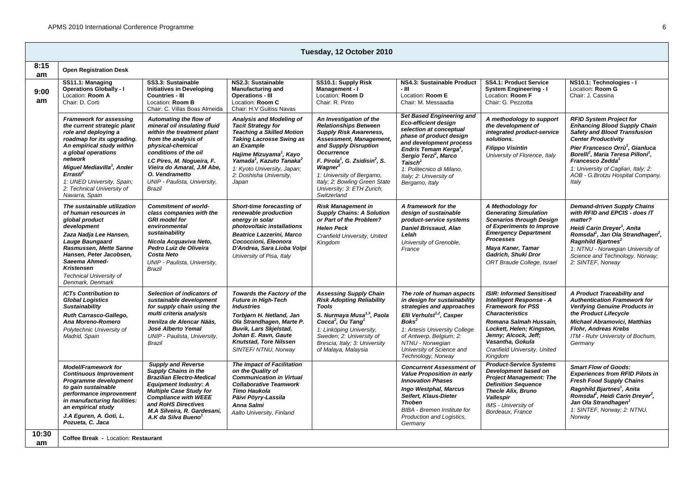| Tuesday, 12 October 2010 |                                                                                                                                                                                                                                                                                                                                    |                                                                                                                                                                                                                                                                                    |                                                                                                                                                                                                                                                                                                          |                                                                                                                                                                                                                                                                                                                                                  |                                                                                                                                                                                                                                                                                                                      |                                                                                                                                                                                                                                                                         |                                                                                                                                                                                                                                                                                                                                                                        |  |  |
|--------------------------|------------------------------------------------------------------------------------------------------------------------------------------------------------------------------------------------------------------------------------------------------------------------------------------------------------------------------------|------------------------------------------------------------------------------------------------------------------------------------------------------------------------------------------------------------------------------------------------------------------------------------|----------------------------------------------------------------------------------------------------------------------------------------------------------------------------------------------------------------------------------------------------------------------------------------------------------|--------------------------------------------------------------------------------------------------------------------------------------------------------------------------------------------------------------------------------------------------------------------------------------------------------------------------------------------------|----------------------------------------------------------------------------------------------------------------------------------------------------------------------------------------------------------------------------------------------------------------------------------------------------------------------|-------------------------------------------------------------------------------------------------------------------------------------------------------------------------------------------------------------------------------------------------------------------------|------------------------------------------------------------------------------------------------------------------------------------------------------------------------------------------------------------------------------------------------------------------------------------------------------------------------------------------------------------------------|--|--|
| 8:15<br>am               | <b>Open Registration Desk</b>                                                                                                                                                                                                                                                                                                      |                                                                                                                                                                                                                                                                                    |                                                                                                                                                                                                                                                                                                          |                                                                                                                                                                                                                                                                                                                                                  |                                                                                                                                                                                                                                                                                                                      |                                                                                                                                                                                                                                                                         |                                                                                                                                                                                                                                                                                                                                                                        |  |  |
| 9:00<br>am               | SS11.1: Managing<br><b>Operations Globally - I</b><br>Location: Room A<br>Chair: D. Corti                                                                                                                                                                                                                                          | SS3.3: Sustainable<br><b>Initiatives in Developing</b><br><b>Countries - III</b><br>Location: Room B<br>Chair: C. Villas Boas Almeida                                                                                                                                              | NS2.3: Sustainable<br><b>Manufacturing and</b><br><b>Operations - III</b><br>Location: Room C<br>Chair: H.V Guitiss Navas                                                                                                                                                                                | SS10.1: Supply Risk<br>Management - I<br>Location: Room D<br>Chair: R. Pinto                                                                                                                                                                                                                                                                     | NS4.3: Sustainable Product<br>- 111<br>Location: Room E<br>Chair: M. Messaadia                                                                                                                                                                                                                                       | <b>SS4.1: Product Service</b><br><b>System Engineering - I</b><br>Location: Room F<br>Chair: G. Pezzotta                                                                                                                                                                | NS10.1: Technologies - I<br>Location: Room G<br>Chair: J. Cassina                                                                                                                                                                                                                                                                                                      |  |  |
|                          | <b>Framework for assessing</b><br>the current strategic plant<br>role and deploying a<br>roadmap for its upgrading.<br>An empirical study within<br>a global operations<br>network<br>Miguel Mediavilla <sup>1</sup> , Ander<br>Errasti <sup>2</sup><br>1: UNED University, Spain;<br>2: Technical University of<br>Navarra, Spain | Automating the flow of<br>mineral oil insulating fluid<br>within the treatment plant<br>from the analysis of<br>physical-chemical<br>conditions of the oil<br>I.C Pires, M. Nogueira, F.<br>Vieira do Amaral, J.M Abe,<br>O. Vendrametto<br>UNIP - Paulista, University,<br>Brazil | Analysis and Modeling of<br><b>Tacit Strategy for</b><br><b>Teaching a Skilled Motion</b><br><b>Taking Lacrosse Swing as</b><br>an Example<br>Hajime Mizuyama <sup>1</sup> , Kayo<br>Yamada <sup>1</sup> , Kazuto Tanaka <sup>2</sup><br>1: Kyoto University, Japan;<br>2: Doshisha University,<br>Japan | An Investigation of the<br><b>Relationships Between</b><br><b>Supply Risk Awareness,</b><br>Assessment, Management,<br>and Supply Disruption<br><b>Occurrence</b><br>F. Pirola <sup>1</sup> , G. Zsidisin <sup>2</sup> , S.<br>Waaner<br>1: University of Bergamo.<br>Italy; 2: Bowling Green State<br>University; 3: ETH Zurich,<br>Switzerland | <b>Set Based Engineering and</b><br>Eco-efficient design<br>selection at conceptual<br>phase of product design<br>and development process<br>Endris Temam Kerga <sup>1</sup> ,<br>Sergio Terzi <sup>2</sup> , Marco<br>Taisch <sup>1</sup><br>1: Politecnico di Milano,<br>Italy; 2: University of<br>Bergamo, Italy | A methodology to support<br>the development of<br>integrated product-service<br>solutions.<br><b>Filippo Visintin</b><br>University of Florence, Italy                                                                                                                  | <b>RFID System Project for</b><br><b>Enhancing Blood Supply Chain</b><br><b>Safety and Blood Transfusion</b><br><b>Center Productivity</b><br>Pier Francesco Orrù <sup>1</sup> , Gianluca<br>Borelli <sup>2</sup> , Maria Teresa Pilloni <sup>1</sup> ,<br><b>Francesco Zedda</b><br>1: University of Cagliari, Italy; 2:<br>AOB - G.Brotzu Hospital Company,<br>Italy |  |  |
|                          | The sustainable utilization<br>of human resources in<br>global product<br>development<br>Zaza Nadja Lee Hansen,<br><b>Lauge Baungaard</b><br>Rasmussen, Mette Sanne<br>Hansen, Peter Jacobsen,<br>Saeema Ahmed-<br><b>Kristensen</b><br><b>Technical University of</b><br>Denmark, Denmark                                         | <b>Commitment of world-</b><br>class companies with the<br><b>GRI</b> model for<br>environmental<br>sustainability<br>Nicola Acquaviva Neto,<br>Pedro Luiz de Oliveira<br><b>Costa Neto</b><br>UNIP - Paulista, University,<br>Brazil                                              | Short-time forecasting of<br>renewable production<br>energy in solar<br>photovoltaic installations<br><b>Beatrice Lazzerini, Marco</b><br>Cococcioni. Eleonora<br>D'Andrea, Sara Lioba Volpi<br>University of Pisa, Italy                                                                                | <b>Risk Management in</b><br><b>Supply Chains: A Solution</b><br>or Part of the Problem?<br><b>Helen Peck</b><br>Cranfield University, United<br>Kinadom                                                                                                                                                                                         | A framework for the<br>desian of sustainable<br>product-service systems<br><b>Daniel Brissaud, Alan</b><br>Lelah<br>University of Grenoble,<br>France                                                                                                                                                                | A Methodology for<br><b>Generating Simulation</b><br><b>Scenarios through Design</b><br>of Experiments to Improve<br><b>Emergency Department</b><br><b>Processes</b><br>Maya Kaner, Tamar<br>Gadrich, Shuki Dror<br>ORT Braude College, Israel                          | <b>Demand-driven Supply Chains</b><br>with RFID and EPCIS - does IT<br>matter?<br>Heidi Carin Dreyer <sup>1</sup> , Anita<br>Romsdal <sup>1</sup> , Jan Ola Strandhagen <sup>2</sup> ,<br>Ragnhild Bjartnes <sup>2</sup><br>1: NTNU - Norwegian University of<br>Science and Technology, Norway;<br>2: SINTEF, Norway                                                  |  |  |
|                          | <b>ICTs Contribution to</b><br><b>Global Logistics</b><br><b>Sustainability</b><br>Ruth Carrasco-Gallego,<br>Ana Moreno-Romero<br>Polytechnic University of<br>Madrid, Spain                                                                                                                                                       | Selection of indicators of<br>sustainable development<br>for supply chain using the<br>multi criteria analysis<br>Irenilza de Alencar Nääs.<br>José Alberto Yemal<br>UNIP - Paulista, University,<br>Brazil                                                                        | Towards the Factory of the<br><b>Future in High-Tech</b><br><b>Industries</b><br>Torbjørn H. Netland, Jan<br>Ola Strandhagen, Marte P.<br><b>Buvik, Lars Skielstad,</b><br>Johan E. Ravn, Gaute<br>Knutstad, Tore Nilssen<br>SINTEF/NTNU, Norway                                                         | <b>Assessing Supply Chain</b><br><b>Risk Adopting Reliability</b><br><b>Tools</b><br>S. Nurmaya Musa <sup>1,3</sup> , Paola<br>Cocca <sup>2</sup> , Ou Tang <sup>1</sup><br>1: Linköping University,<br>Sweden; 2: University of<br>Brescia, Italy; 3: University<br>of Malaya, Malaysia                                                         | The role of human aspects<br>in design for sustainability<br>strategies and approaches<br>Elli Verhulst <sup>1,2</sup> , Casper<br>Boks <sup>2</sup><br>1: Artesis University College<br>of Antwerp, Belgium; 2:<br>NTNU - Norwegian<br>University of Science and<br>Technology, Norway                              | <b>ISIR: Informed Sensitised</b><br><b>Intelligent Response - A</b><br><b>Framework for PSS</b><br><b>Characteristics</b><br>Romana Salmah Hussain,<br>Lockett, Helen; Kingston,<br>Jenny; Alcock, Jeff;<br>Vasantha, Gokula<br>Cranfield University, United<br>Kingdom | A Product Traceability and<br><b>Authentication Framework for</b><br><b>Verifying Genuine Products in</b><br>the Product Lifecvcle<br><b>Michael Abramovici, Matthias</b><br><b>Flohr. Andreas Krebs</b><br>ITM - Ruhr University of Bochum,<br>Germany                                                                                                                |  |  |
|                          | Model/Framework for<br><b>Continuous Improvement</b><br>Programme development<br>to gain sustainable<br>performance improvement<br>in manufacturing facilities:<br>an empirical study<br>J.A Eguren, A. Goti, L.<br>Pozueta, C. Jaca                                                                                               | <b>Supply and Reverse</b><br>Supply Chains in the<br><b>Brazilian Electro-Medical</b><br><b>Equipment Industry: A</b><br><b>Multiple Case Study for</b><br><b>Compliance with WEEE</b><br>and RoHS Directives<br>M.A Silveira, R. Gardesani,<br>A.K da Silva Bueno <sup>1</sup>    | <b>The Impact of Facilitation</b><br>on the Quality of<br><b>Communication in Virtual</b><br><b>Collaborative Teamwork</b><br><b>Timo Haukola</b><br>Päivi Pöyry-Lassila<br>Anna Salmi<br>Aalto University, Finland                                                                                      |                                                                                                                                                                                                                                                                                                                                                  | <b>Concurrent Assessment of</b><br>Value Proposition in early<br><b>Innovation Phases</b><br>Ingo Westphal, Marcus<br>Seifert, Klaus-Dieter<br><b>Thoben</b><br><b>BIBA</b> - Bremen Institute for<br>Production and Logistics,<br>Germany                                                                           | <b>Product-Service Systems</b><br>Development based on<br><b>Project Management: The</b><br><b>Definition Sequence</b><br><b>Thecle Alix, Bruno</b><br>Vallespir<br><b>IMS</b> - University of<br>Bordeaux, France                                                      | <b>Smart Flow of Goods:</b><br><b>Experiences from RFID Pilots in</b><br><b>Fresh Food Supply Chains</b><br>Ragnhild Bjartnes <sup>1</sup> , Anita<br>Romsdal <sup>2</sup> , Heidi Carin Dreyer <sup>2</sup> ,<br>Jan Ola Strandhagen <sup>1</sup><br>1: SINTEF, Norway; 2: NTNU,<br>Norway                                                                            |  |  |
| 10:30<br>am              | Coffee Break - Location: Restaurant                                                                                                                                                                                                                                                                                                |                                                                                                                                                                                                                                                                                    |                                                                                                                                                                                                                                                                                                          |                                                                                                                                                                                                                                                                                                                                                  |                                                                                                                                                                                                                                                                                                                      |                                                                                                                                                                                                                                                                         |                                                                                                                                                                                                                                                                                                                                                                        |  |  |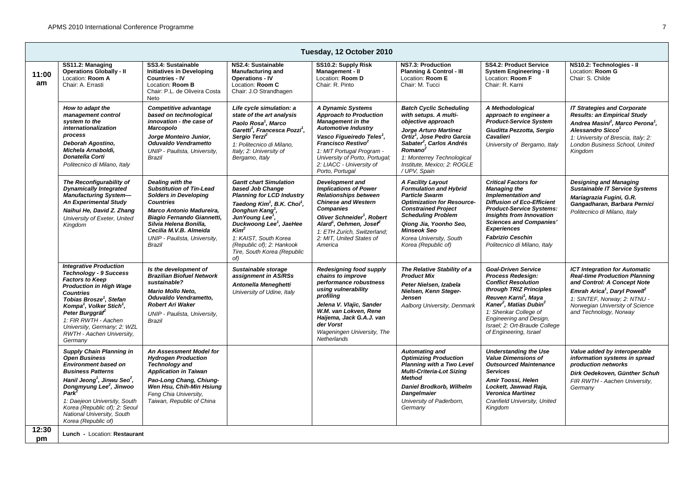|             | Tuesday, 12 October 2010                                                                                                                                                                                                                                                                                                                                                |                                                                                                                                                                                                                                                                        |                                                                                                                                                                                                                                                                                                                                                                   |                                                                                                                                                                                                                                                                                                             |                                                                                                                                                                                                                                                                                              |                                                                                                                                                                                                                                                                                                                      |                                                                                                                                                                                                                                                                  |  |  |  |
|-------------|-------------------------------------------------------------------------------------------------------------------------------------------------------------------------------------------------------------------------------------------------------------------------------------------------------------------------------------------------------------------------|------------------------------------------------------------------------------------------------------------------------------------------------------------------------------------------------------------------------------------------------------------------------|-------------------------------------------------------------------------------------------------------------------------------------------------------------------------------------------------------------------------------------------------------------------------------------------------------------------------------------------------------------------|-------------------------------------------------------------------------------------------------------------------------------------------------------------------------------------------------------------------------------------------------------------------------------------------------------------|----------------------------------------------------------------------------------------------------------------------------------------------------------------------------------------------------------------------------------------------------------------------------------------------|----------------------------------------------------------------------------------------------------------------------------------------------------------------------------------------------------------------------------------------------------------------------------------------------------------------------|------------------------------------------------------------------------------------------------------------------------------------------------------------------------------------------------------------------------------------------------------------------|--|--|--|
| 11:00<br>am | SS11.2: Managing<br><b>Operations Globally - II</b><br>Location: Room A<br>Chair: A. Errasti                                                                                                                                                                                                                                                                            | SS3.4: Sustainable<br><b>Initiatives in Developing</b><br><b>Countries - IV</b><br>Location: Room B<br>Chair: P.L. de Oliveira Costa<br>Neto                                                                                                                           | NS2.4: Sustainable<br><b>Manufacturing and</b><br><b>Operations - IV</b><br>Location: Room C<br>Chair: J.O Strandhagen                                                                                                                                                                                                                                            | SS10.2: Supply Risk<br>Management - II<br>Location: Room D<br>Chair: R. Pinto                                                                                                                                                                                                                               | NS7.3: Production<br>Planning & Control - III<br>Location: Room E<br>Chair: M. Tucci                                                                                                                                                                                                         | <b>SS4.2: Product Service</b><br><b>System Engineering - II</b><br>Location: Room F<br>Chair: R. Karni                                                                                                                                                                                                               | NS10.2: Technologies - II<br>Location: Room G<br>Chair: S. Childe                                                                                                                                                                                                |  |  |  |
|             | How to adapt the<br>management control<br>system to the<br>internationalization<br>process<br>Deborah Agostino,<br>Michela Arnaboldi,<br><b>Donatella Corti</b><br>Politecnico di Milano, Italy                                                                                                                                                                         | Competitive advantage<br>based on technological<br>innovation - the case of<br><b>Marcopolo</b><br>Jorge Monteiro Junior,<br>Oduvaldo Vendrametto<br>UNIP - Paulista, University,<br>Brazil                                                                            | Life cycle simulation: a<br>state of the art analysis<br>Paolo Rosa <sup>1</sup> , Marco<br>Garetti <sup>1</sup> , Francesca Pozzi <sup>1</sup> ,<br>Sergio Terzi <sup>2</sup><br>1: Politecnico di Milano.<br>Italy; 2: University of<br>Bergamo, Italy                                                                                                          | A Dynamic Systems<br><b>Approach to Production</b><br><b>Management in the</b><br><b>Automotive Industry</b><br>Vasco Figueiredo Teles <sup>1</sup> ,<br>Francisco Restivo <sup>2</sup><br>1: MIT Portugal Program -<br>University of Porto, Portugal;<br>2: LIACC - University of<br>Porto, Portugal       | <b>Batch Cyclic Scheduling</b><br>with setups. A multi-<br>objective approach<br>Jorge Arturo Martínez<br>Ortiz <sup>1</sup> , Jose Pedro Garcia<br>Sabater <sup>2</sup> , Carlos Andrés<br>Romano <sup>2</sup><br>1: Monterrey Technological<br>Institute. Mexico: 2: ROGLE<br>/ UPV, Spain | A Methodological<br>approach to engineer a<br><b>Product-Service System</b><br>Giuditta Pezzotta, Sergio<br>Cavalieri<br>University of Bergamo, Italy                                                                                                                                                                | <b>IT Strategies and Corporate</b><br><b>Results: an Empirical Study</b><br>Andrea Masini <sup>2</sup> , Marco Perona <sup>1</sup> ,<br>Alessandro Sicco <sup>1</sup><br>1: University of Brescia, Italy; 2:<br>London Business School, United<br>Kingdom        |  |  |  |
|             | The Reconfigurability of<br><b>Dynamically Integrated</b><br><b>Manufacturing System-</b><br><b>An Experimental Study</b><br>Naihui He, David Z. Zhang<br>University of Exeter, United<br>Kingdom                                                                                                                                                                       | Dealing with the<br><b>Substitution of Tin-Lead</b><br><b>Solders in Developing</b><br><b>Countries</b><br>Marco Antonio Madureira,<br>Biagio Fernando Giannetti,<br>Silvia Helena Bonilla.<br>Cecilia M.V.B. Almeida<br>UNIP - Paulista, University,<br><b>Brazil</b> | <b>Gantt chart Simulation</b><br>based Job Change<br><b>Planning for LCD Industry</b><br>Taedong Kim <sup>1</sup> , B.K. Choi <sup>1</sup> ,<br>Donghun Kang <sup>1</sup> ,<br>JunYoung Lee <sup>'</sup> .<br>Duckwoong Lee <sup>1</sup> , JaeHee<br>Kim <sup>2</sup><br>1: KAIST, South Korea<br>(Republic of): 2: Hankook<br>Tire, South Korea (Republic<br>of) | <b>Development and</b><br><b>Implications of Power</b><br><b>Relationships between</b><br><b>Chinese and Western</b><br><b>Companies</b><br>Oliver Schneider <sup>1</sup> , Robert<br>Alard <sup>1</sup> , Oehmen, Josef <sup>2</sup><br>1: ETH Zurich. Switzerland:<br>2: MIT, United States of<br>America | A Facility Layout<br><b>Formulation and Hybrid</b><br><b>Particle Swarm</b><br><b>Optimization for Resource-</b><br><b>Constrained Project</b><br><b>Scheduling Problem</b><br>Qiong Jia, Yoonho Seo,<br><b>Minseok Seo</b><br>Korea University, South<br>Korea (Republic of)                | <b>Critical Factors for</b><br><b>Managing the</b><br><b>Implementation and</b><br><b>Diffusion of Eco-Efficient</b><br><b>Product-Service Systems:</b><br><b>Insights from Innovation</b><br><b>Sciences and Companies'</b><br><b>Experiences</b><br><b>Fabrizio Ceschin</b><br>Politecnico di Milano, Italy        | Designing and Managing<br><b>Sustainable IT Service Systems</b><br>Mariagrazia Fugini, G.R.<br>Gangadharan, Barbara Pernici<br>Politecnico di Milano, Italy                                                                                                      |  |  |  |
|             | <b>Integrative Production</b><br><b>Technology - 9 Success</b><br><b>Factors to Keep</b><br><b>Production in High Wage</b><br><b>Countries</b><br>Tobias Brosze <sup>1</sup> , Stefan<br>Kompa <sup>1</sup> , Volker Stich <sup>1</sup> ,<br>Peter Burggräf <sup>2</sup><br>1: FIR RWTH - Aachen<br>University, Germany; 2: WZL<br>RWTH - Aachen University,<br>Germany | Is the development of<br><b>Brazilian Biofuel Network</b><br>sustainable?<br><b>Mario Mollo Neto.</b><br>Oduvaldo Vendrametto.<br><b>Robert Ari Waker</b><br>UNIP - Paulista, University,<br>Brazil                                                                    | Sustainable storage<br>assignment in AS/RSs<br>Antonella Meneghetti<br>University of Udine, Italy                                                                                                                                                                                                                                                                 | Redesigning food supply<br>chains to improve<br>performance robustness<br>using vulnerability<br>profiling<br>Jelena V. Vlajic, Sander<br>W.M. van Lokven. Rene<br>Haiiema, Jack G.A.J. van<br>der Vorst<br>Wageningen University, The<br>Netherlands                                                       | The Relative Stability of a<br><b>Product Mix</b><br>Peter Nielsen, Izabela<br>Nielsen, Kenn Steaer-<br>Jensen<br>Aalborg University, Denmark                                                                                                                                                | <b>Goal-Driven Service</b><br><b>Process Redesign:</b><br><b>Conflict Resolution</b><br>through TRIZ Principles<br>Reuven Karni <sup>1</sup> , Maya<br>Kaner <sup>2</sup> , Matias Dubin <sup>2</sup><br>1: Shenkar College of<br>Engineering and Design,<br>Israel: 2: Ort-Braude College<br>of Engineering, Israel | <b>ICT Integration for Automatic</b><br><b>Real-time Production Planning</b><br>and Control: A Concept Note<br>Emrah Arica <sup>1</sup> , Daryl Powell <sup>2</sup><br>1: SINTEF, Norway; 2: NTNU -<br>Norwegian University of Science<br>and Technology, Norway |  |  |  |
|             | Supply Chain Planning in<br><b>Open Business</b><br><b>Environment based on</b><br><b>Business Patterns</b><br>Hanil Jeong <sup>1</sup> , Jinwu Seo <sup>2</sup> ,<br>Dongmyung Lee <sup>2</sup> , Jinwoo<br>Park <sup>2</sup><br>1: Daejeon University, South<br>Korea (Republic of); 2: Seoul<br>National University, South<br>Korea (Republic of)                    | An Assessment Model for<br><b>Hydrogen Production</b><br><b>Technology and</b><br><b>Application in Taiwan</b><br>Pao-Long Chang, Chiung-<br>Wen Hsu. Chih-Min Hsiuna<br>Feng Chia University,<br>Taiwan, Republic of China                                            |                                                                                                                                                                                                                                                                                                                                                                   |                                                                                                                                                                                                                                                                                                             | Automating and<br><b>Optimizing Production</b><br><b>Planning with a Two Level</b><br><b>Multi-Criteria-Lot Sizing</b><br><b>Method</b><br><b>Daniel Brodkorb, Wilhelm</b><br><b>Dangelmaier</b><br>University of Paderborn,<br>Germany                                                      | <b>Understanding the Use</b><br><b>Value Dimensions of</b><br><b>Outsourced Maintenance</b><br><b>Services</b><br>Amir Toossi, Helen<br>Lockett, Jawwad Raja,<br><b>Veronica Martinez</b><br>Cranfield University, United<br>Kingdom                                                                                 | Value added by interoperable<br>information systems in spread<br>production networks<br>Dirk Oedekoven, Günther Schuh<br>FIR RWTH - Aachen University,<br>Germany                                                                                                |  |  |  |
| 12:30<br>pm | Lunch - Location: Restaurant                                                                                                                                                                                                                                                                                                                                            |                                                                                                                                                                                                                                                                        |                                                                                                                                                                                                                                                                                                                                                                   |                                                                                                                                                                                                                                                                                                             |                                                                                                                                                                                                                                                                                              |                                                                                                                                                                                                                                                                                                                      |                                                                                                                                                                                                                                                                  |  |  |  |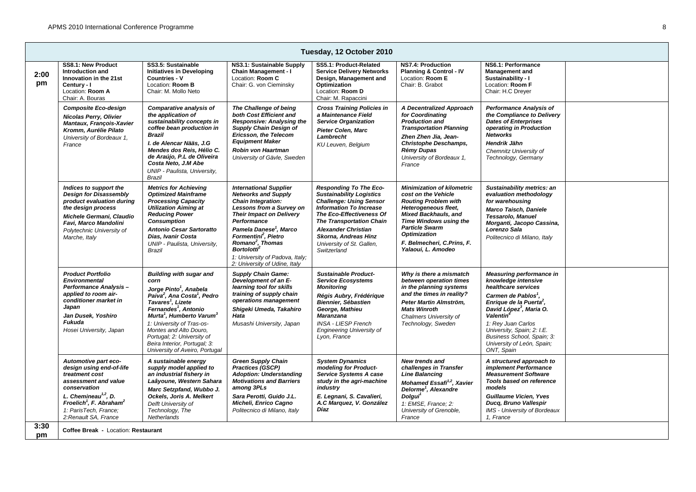|            | Tuesday, 12 October 2010                                                                                                                                                                                                                           |                                                                                                                                                                                                                                                                                                                                                                                                                     |                                                                                                                                                                                                                                                                                                                                                                    |                                                                                                                                                                                                                                                                                                       |                                                                                                                                                                                                                                                                              |                                                                                                                                                                                                                                                                                                                                                |  |  |  |  |  |
|------------|----------------------------------------------------------------------------------------------------------------------------------------------------------------------------------------------------------------------------------------------------|---------------------------------------------------------------------------------------------------------------------------------------------------------------------------------------------------------------------------------------------------------------------------------------------------------------------------------------------------------------------------------------------------------------------|--------------------------------------------------------------------------------------------------------------------------------------------------------------------------------------------------------------------------------------------------------------------------------------------------------------------------------------------------------------------|-------------------------------------------------------------------------------------------------------------------------------------------------------------------------------------------------------------------------------------------------------------------------------------------------------|------------------------------------------------------------------------------------------------------------------------------------------------------------------------------------------------------------------------------------------------------------------------------|------------------------------------------------------------------------------------------------------------------------------------------------------------------------------------------------------------------------------------------------------------------------------------------------------------------------------------------------|--|--|--|--|--|
| 2:00<br>pm | SS8.1: New Product<br>Introduction and<br>Innovation in the 21st<br>Century - I<br>Location: Room A<br>Chair: A. Bouras                                                                                                                            | SS3.5: Sustainable<br><b>Initiatives in Developing</b><br><b>Countries - V</b><br>Location: Room B<br>Chair: M. Mollo Neto                                                                                                                                                                                                                                                                                          | NS3.1: Sustainable Supply<br><b>Chain Management - I</b><br>Location: Room C<br>Chair: G. von Cieminsky                                                                                                                                                                                                                                                            | SS5.1: Product-Related<br><b>Service Delivery Networks</b><br>Design, Management and<br>Optimization<br>Location: Room D<br>Chair: M. Rapaccini                                                                                                                                                       | NS7.4: Production<br><b>Planning &amp; Control - IV</b><br>Location: Room E<br>Chair: B. Grabot                                                                                                                                                                              | NS6.1: Performance<br><b>Management and</b><br>Sustainability - I<br>Location: Room F<br>Chair: H.C Dreyer                                                                                                                                                                                                                                     |  |  |  |  |  |
|            | <b>Composite Eco-design</b><br><b>Nicolas Perry, Olivier</b><br>Mantaux, François-Xavier<br>Kromm, Aurélie Pilato<br>University of Bordeaux 1.<br>France                                                                                           | Comparative analysis of<br>the application of<br>sustainability concepts in<br>coffee bean production in<br><b>Brazil</b><br>I. de Alencar Nääs, J.G<br>Mendes dos Reis, Hélio C.<br>de Araújo, P.L de Oliveira<br>Costa Neto, J.M Abe<br>UNIP - Paulista, University,<br><b>Brazil</b>                                                                                                                             | The Challenge of being<br>both Cost Efficient and<br><b>Responsive: Analysing the</b><br><b>Supply Chain Design of</b><br>Ericsson, the Telecom<br><b>Equipment Maker</b><br>Robin von Haartman<br>University of Gävle, Sweden                                                                                                                                     | <b>Cross Training Policies in</b><br>a Maintenance Field<br><b>Service Organization</b><br>Pieter Colen, Marc<br>Lambrecht<br>KU Leuven, Belgium                                                                                                                                                      | A Decentralized Approach<br>for Coordinating<br><b>Production and</b><br><b>Transportation Planning</b><br>Zhen Zhen Jia, Jean-<br><b>Christophe Deschamps,</b><br>Rémy Dupas<br>University of Bordeaux 1,<br>France                                                         | <b>Performance Analysis of</b><br>the Compliance to Delivery<br><b>Dates of Enterprises</b><br>operating in Production<br><b>Networks</b><br>Hendrik Jähn<br>Chemnitz University of<br>Technology, Germany                                                                                                                                     |  |  |  |  |  |
|            | Indices to support the<br><b>Design for Disassembly</b><br>product evaluation during<br>the design process<br>Michele Germani, Claudio<br>Favi, Marco Mandolini<br>Polytechnic University of<br>Marche, Italy                                      | <b>Metrics for Achieving</b><br><b>Optimized Mainframe</b><br><b>Processing Capacity</b><br><b>Utilization Aiming at</b><br><b>Reducing Power</b><br><b>Consumption</b><br><b>Antonio Cesar Sartoratto</b><br>Dias, Ivanir Costa<br>UNIP - Paulista, University,<br>Brazil                                                                                                                                          | <b>International Supplier</b><br><b>Networks and Supply</b><br>Chain Integration:<br>Lessons from a Survey on<br><b>Their Impact on Delivery</b><br>Performance<br>Pamela Danese <sup>1</sup> , Marco<br>Formentini <sup>2</sup> , Pietro<br>Romano <sup>2</sup> , Thomas<br><b>Bortolotti</b><br>1: University of Padova, Italy;<br>2: University of Udine, Italy | <b>Responding To The Eco-</b><br><b>Sustainability Logistics</b><br><b>Challenge: Using Sensor</b><br><b>Information To Increase</b><br>The Eco-Effectiveness Of<br><b>The Transportation Chain</b><br><b>Alexander Christian</b><br>Skorna, Andreas Hinz<br>University of St. Gallen,<br>Switzerland | <b>Minimization of kilometric</b><br>cost on the Vehicle<br><b>Routing Problem with</b><br>Heterogeneous fleet,<br><b>Mixed Backhauls, and</b><br>Time Windows using the<br><b>Particle Swarm</b><br><b>Optimization</b><br>F. Belmecheri, C.Prins, F.<br>Yalaoui, L. Amodeo | Sustainability metrics: an<br>evaluation methodology<br>for warehousing<br><b>Marco Taisch, Daniele</b><br><b>Tessarolo, Manuel</b><br>Morganti, Jacopo Cassina,<br>Lorenzo Sala<br>Politecnico di Milano, Italy                                                                                                                               |  |  |  |  |  |
|            | <b>Product Portfolio</b><br><b>Environmental</b><br><b>Performance Analysis -</b><br>applied to room air-<br>conditioner market in<br>Japan<br>Jan Dusek, Yoshiro<br><b>Fukuda</b><br>Hosei University, Japan                                      | <b>Building with sugar and</b><br>corn<br>Jorge Pinto <sup>1</sup> , Anabela<br>Paiva <sup>2</sup> , Ana Costa <sup>1</sup> , Pedro<br>Tavares <sup>1</sup> , Lizete<br>Fernandes <sup>1</sup> , Antonio<br>Murta <sup>1</sup> , Humberto Varum <sup>3</sup><br>1: University of Tras-os-<br>Montes and Alto Douro.<br>Portugal; 2: University of<br>Beira Interior, Portugal; 3:<br>University of Aveiro, Portugal | <b>Supply Chain Game:</b><br>Development of an E-<br>learning tool for skills<br>training of supply chain<br>operations management<br>Shigeki Umeda, Takahiro<br>Hata<br>Musashi University, Japan                                                                                                                                                                 | <b>Sustainable Product-</b><br><b>Service Ecosystems</b><br><b>Monitoring</b><br>Régis Aubry, Frédérique<br><b>Biennier, Sébastien</b><br>George, Mathieu<br><b>Maranzana</b><br><b>INSA - LIESP French</b><br><b>Engineering University of</b><br>Lyon, France                                       | Why is there a mismatch<br>between operation times<br>in the planning systems<br>and the times in reality?<br>Peter Martin Almström,<br><b>Mats Winroth</b><br>Chalmers University of<br>Technology, Sweden                                                                  | Measuring performance in<br>knowledge intensive<br>healthcare services<br>Carmen de Pablos <sup>1</sup> ,<br>Enrique de la Puerta <sup>2</sup> ,<br>David López <sup>3</sup> , Maria O.<br>Valentin <sup>4</sup><br>1: Rey Juan Carlos<br>University, Spain; 2: I.E.<br>Business School, Spain; 3:<br>University of León, Spain;<br>ONT, Spain |  |  |  |  |  |
|            | Automotive part eco-<br>design using end-of-life<br>treatment cost<br>assessment and value<br>conservation<br>L. Chemineau <sup>1,2</sup> , D.<br>Froelich <sup>1</sup> , F. Abraham <sup>2</sup><br>1: ParisTech, France;<br>2:Renault SA. France | A sustainable energy<br>supply model applied to<br>an industrial fishery in<br>Laâyoune, Western Sahara<br>Marc Setzpfand, Wubbo J.<br>Ockels, Joris A. Melkert<br>Delft University of<br>Technology, The<br>Netherlands                                                                                                                                                                                            | <b>Green Supply Chain</b><br><b>Practices (GSCP)</b><br><b>Adoption: Understanding</b><br><b>Motivations and Barriers</b><br>among 3PLs<br>Sara Perotti, Guido J.L.<br>Micheli, Enrico Cagno<br>Politecnico di Milano, Italy                                                                                                                                       | <b>System Dynamics</b><br>modeling for Product-<br><b>Service Systems A case</b><br>study in the agri-machine<br>industry<br>E. Legnani, S. Cavalieri,<br>A.C Marquez, V. González<br>Díaz                                                                                                            | <b>New trends and</b><br>challenges in Transfer<br><b>Line Balancing</b><br>Mohamed Essafi <sup>1,2</sup> , Xavier<br>Delorme <sup>1</sup> , Alexandre<br>Dolgui <sup>1</sup><br>1: EMSE. France: 2:<br>University of Grenoble,<br>France                                    | A structured approach to<br>implement Performance<br><b>Measurement Software</b><br>Tools based on reference<br>models<br><b>Guillaume Vicien, Yves</b><br>Ducq, Bruno Vallespir<br><b>IMS</b> - University of Bordeaux<br>1. France                                                                                                           |  |  |  |  |  |
| 3:30<br>pm | Coffee Break - Location: Restaurant                                                                                                                                                                                                                |                                                                                                                                                                                                                                                                                                                                                                                                                     |                                                                                                                                                                                                                                                                                                                                                                    |                                                                                                                                                                                                                                                                                                       |                                                                                                                                                                                                                                                                              |                                                                                                                                                                                                                                                                                                                                                |  |  |  |  |  |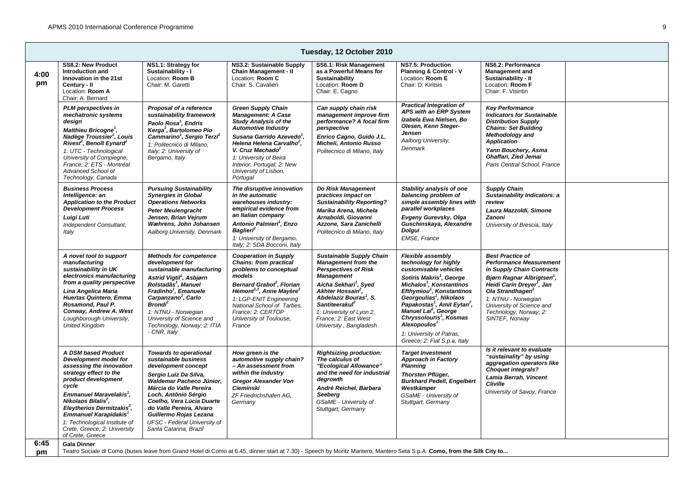|            | Tuesday, 12 October 2010                                                                                                                                                                                                                                                                                                                                                         |                                                                                                                                                                                                                                                                                                                                                                  |                                                                                                                                                                                                                                                                                                                                     |                                                                                                                                                                                                                                                                                                                                                  |                                                                                                                                                                                                                                                                                                                                                                                                                                                               |                                                                                                                                                                                                                                                                                                           |  |  |  |  |  |
|------------|----------------------------------------------------------------------------------------------------------------------------------------------------------------------------------------------------------------------------------------------------------------------------------------------------------------------------------------------------------------------------------|------------------------------------------------------------------------------------------------------------------------------------------------------------------------------------------------------------------------------------------------------------------------------------------------------------------------------------------------------------------|-------------------------------------------------------------------------------------------------------------------------------------------------------------------------------------------------------------------------------------------------------------------------------------------------------------------------------------|--------------------------------------------------------------------------------------------------------------------------------------------------------------------------------------------------------------------------------------------------------------------------------------------------------------------------------------------------|---------------------------------------------------------------------------------------------------------------------------------------------------------------------------------------------------------------------------------------------------------------------------------------------------------------------------------------------------------------------------------------------------------------------------------------------------------------|-----------------------------------------------------------------------------------------------------------------------------------------------------------------------------------------------------------------------------------------------------------------------------------------------------------|--|--|--|--|--|
| 4:00<br>pm | SS8.2: New Product<br>Introduction and<br>Innovation in the 21st<br>Century - II<br>Location: Room A<br>Chair: A. Bernard                                                                                                                                                                                                                                                        | NS1.1: Strategy for<br>Sustainability - I<br>Location: Room B<br>Chair: M. Garetti                                                                                                                                                                                                                                                                               | NS3.2: Sustainable Supply<br><b>Chain Management - II</b><br>Location: Room C<br>Chair: S. Cavalieri                                                                                                                                                                                                                                | SS6.1: Risk Management<br>as a Powerful Means for<br>Sustainability<br>Location: Room D<br>Chair: E. Cagno                                                                                                                                                                                                                                       | <b>NS7.5: Production</b><br>Planning & Control - V<br>Location: Room E<br>Chair: D. Kiritsis                                                                                                                                                                                                                                                                                                                                                                  | NS6.2: Performance<br><b>Management</b> and<br>Sustainability - II<br>Location: Room F<br>Chair: F. Visintin                                                                                                                                                                                              |  |  |  |  |  |
|            | <b>PLM</b> perspectives in<br>mechatronic systems<br>design<br>Matthieu Bricogne <sup>1</sup> ,<br>Nadège Troussier <sup>1</sup> , Louis<br>Rivest <sup>2</sup> , Benoît Eynard <sup>1</sup><br>1: UTC - Technological<br>University of Compiegne,<br>France: 2: ETS - Montréal<br>Advanced School of<br>Technology, Canada                                                      | Proposal of a reference<br>sustainability framework<br>Paolo Rosa <sup>1</sup> , Endris<br>Kerga <sup>1</sup> , Bartolomeo Pio<br>Cammarino <sup>1</sup> , Sergio Terzi <sup>2</sup><br>1: Politecnico di Milano,<br>Italy; 2: University of<br>Bergamo, Italy                                                                                                   | <b>Green Supply Chain</b><br><b>Management: A Case</b><br><b>Study Analysis of the</b><br><b>Automotive Industry</b><br>Susana Garrido Azevedo <sup>1</sup> .<br>Helena Helena Carvalho <sup>2</sup> ,<br>V. Cruz Machado <sup>2</sup><br>1: University of Beira<br>Interior, Portugal; 2: New<br>University of Lisbon,<br>Portugal | Can supply chain risk<br>management improve firm<br>performance? A focal firm<br>perspective<br>Enrico Cagno, Guido J.L.<br>Micheli, Antonio Russo<br>Politecnico di Milano, Italy                                                                                                                                                               | <b>Practical Integration of</b><br>APS with an ERP System<br>Izabela Ewa Nielsen, Bo<br>Olesen, Kenn Steger-<br>Jensen<br>Aalborg University,<br>Denmark                                                                                                                                                                                                                                                                                                      | <b>Key Performance</b><br><b>Indicators for Sustainable</b><br><b>Distribution Supply</b><br><b>Chains: Set Building</b><br>Methodology and<br><b>Application</b><br>Yann Bouchery, Asma<br>Ghaffari, Zied Jemai<br>Paris Central School, France                                                          |  |  |  |  |  |
|            | <b>Business Process</b><br>Intelligence: an<br><b>Application to the Product</b><br><b>Development Process</b><br>Luigi Luti<br>Independent Consultant,<br>Italy                                                                                                                                                                                                                 | <b>Pursuing Sustainability</b><br><b>Synergies in Global</b><br><b>Operations Networks</b><br><b>Peter Meulengracht</b><br>Jensen, Brian Veirum<br>Wæhrens, John Johansen<br>Aalborg University, Denmark                                                                                                                                                         | The disruptive innovation<br>in the automatic<br>warehouses industry:<br>empirical evidence from<br>an Italian company<br>Antonio Palmieri <sup>1</sup> , Enzo<br><b>Baglieri</b><br>1: University of Bergamo,<br>Italy; 2: SDA Bocconi, Italy                                                                                      | Do Risk Management<br>practices impact on<br><b>Sustainability Reporting?</b><br>Marika Arena, Michela<br>Arnaboldi, Giovanni<br>Azzone, Sara Zanichelli<br>Politecnico di Milano, Italy                                                                                                                                                         | Stability analysis of one<br>balancing problem of<br>simple assembly lines with<br>parallel workplaces<br>Evgeny Gurevsky, Olga<br>Guschinskaya, Alexandre<br><b>Dolgui</b><br><b>EMSE, France</b>                                                                                                                                                                                                                                                            | <b>Supply Chain</b><br>Sustainability Indicators: a<br>review<br>Laura Mazzoldi, Simone<br>Zanoni<br>University of Brescia, Italy                                                                                                                                                                         |  |  |  |  |  |
|            | A novel tool to support<br>manufacturing<br>sustainability in UK<br>electronics manufacturing<br>from a quality perspective<br>Lina Angelica Maria<br>Huertas Quintero, Emma<br>Rosamond, Paul P.<br>Conway, Andrew A. West<br>Loughborough University,<br><b>United Kingdom</b>                                                                                                 | <b>Methods for competence</b><br>development for<br>sustainable manufacturing<br>Astrid Vigtil <sup>1</sup> , Asbjørn<br>Rolstadås <sup>1</sup> , Manuel<br>Fradinho <sup>1</sup> , Emanuele<br>Carpanzano <sup>2</sup> , Carlo<br><b>Brondi</b> <sup>2</sup><br>1: NTNU - Norwegian<br>University of Science and<br>Technology, Norway; 2: ITIA<br>- CNR, Italy | <b>Cooperation in Supply</b><br><b>Chains: from practical</b><br>problems to conceptual<br>models<br>Bernard Grabot <sup>1</sup> , Florian<br>Hémont <sup>1,2</sup> , Anne Mayère <sup>2</sup><br>1: LGP-ENIT Engineering<br>National School of Tarbes,<br>France: 2: CERTOP<br>University of Toulouse,<br>France                   | <b>Sustainable Supply Chain</b><br><b>Management from the</b><br><b>Perspectives of Risk</b><br><b>Management</b><br>Aicha Sekhari <sup>1</sup> , Syed<br>Akhter Hossain <sup>2</sup> ,<br>Abdelaziz Bouras <sup>1</sup> , S.<br><b>Santiteerakul</b> <sup>2</sup><br>1: University of Lyon 2,<br>France; 2: East West<br>University, Bangladesh | Flexible assembly<br>technology for highly<br>customisable vehicles<br>Sotiris Makris <sup>1</sup> , George<br>Michalos <sup>1</sup> , Konstantinos<br>Efthymiou <sup>1</sup> , Konstantinos<br>Georgoulias <sup>1</sup> , Nikolaos<br>Papakostas <sup>1</sup> , Amit Eytan <sup>2</sup> ,<br>Manuel Lai <sup>2</sup> , George<br>Chryssolouris <sup>1</sup> , Kosmas<br>Alexopoulos <sup>1</sup><br>1: University of Patras,<br>Greece; 2: Fiat S.p.a. Italy | <b>Best Practice of</b><br><b>Performance Measurement</b><br>in Supply Chain Contracts<br>Bjørn Ragnar Albrigtsen <sup>1</sup> ,<br>Heidi Carin Dreyer <sup>1</sup> , Jan<br>Ola Strandhagen <sup>2</sup><br>1: NTNU - Norwegian<br>University of Science and<br>Technology, Norway; 2:<br>SINTEF, Norway |  |  |  |  |  |
|            | A DSM based Product<br>Development model for<br>assessing the innovation<br>strategy effect to the<br>product development<br>cycle<br>Emmanuel Maravelakis <sup>1</sup> ,<br>Nikolaos Bilalis <sup>2</sup> .<br>Eleytherios Dermitzakis <sup>2</sup> ,<br>Emmanuel Karapidakis <sup>1</sup><br>1: Technological Institute of<br>Crete, Greece; 2: University<br>of Crete, Greece | <b>Towards to operational</b><br>sustainable business<br>development concept<br>Sergio Luiz Da Silva,<br>Waldemar Pacheco Júnior,<br>Márcia do Valle Pereira<br>Loch, Antônio Sérgio<br>Coelho, Vera Lúcia Duarte<br>do Valle Pereira, Alvaro<br>Guillermo Rojas Lezana<br>UFSC - Federal University of<br>Santa Catarina, Brazil                                | How areen is the<br>automotive supply chain?<br>- An assessment from<br>within the industry<br><b>Gregor Alexander Von</b><br><b>Cieminski</b><br>ZF Friedrichshafen AG,<br>Germany                                                                                                                                                 | <b>Rightsizing production:</b><br>The calculus of<br>"Ecological Allowance"<br>and the need for industrial<br>degrowth<br>André Reichel, Barbara<br><b>Seeberg</b><br>GSaME - University of<br>Stuttgart, Germany                                                                                                                                | <b>Target Investment</b><br><b>Approach in Factory</b><br><b>Planning</b><br><b>Thorsten Pflüger,</b><br><b>Burkhard Pedell, Engelbert</b><br>Westkämper<br>GSaME - University of<br>Stuttgart, Germany                                                                                                                                                                                                                                                       | Is it relevant to evaluate<br>"sustainality" by using<br>aggregation operators like<br><b>Choquet integrals?</b><br>Lamia Berrah, Vincent<br><b>Cliville</b><br>University of Savoy, France                                                                                                               |  |  |  |  |  |
| 6:45<br>pm | <b>Gala Dinner</b>                                                                                                                                                                                                                                                                                                                                                               | Teatro Sociale di Como (buses leave from Grand Hotel di Como at 6.45, dinner start at 7.30) - Speech by Moritz Mantero, Mantero Seta S.p.A. Como, from the Silk City to                                                                                                                                                                                          |                                                                                                                                                                                                                                                                                                                                     |                                                                                                                                                                                                                                                                                                                                                  |                                                                                                                                                                                                                                                                                                                                                                                                                                                               |                                                                                                                                                                                                                                                                                                           |  |  |  |  |  |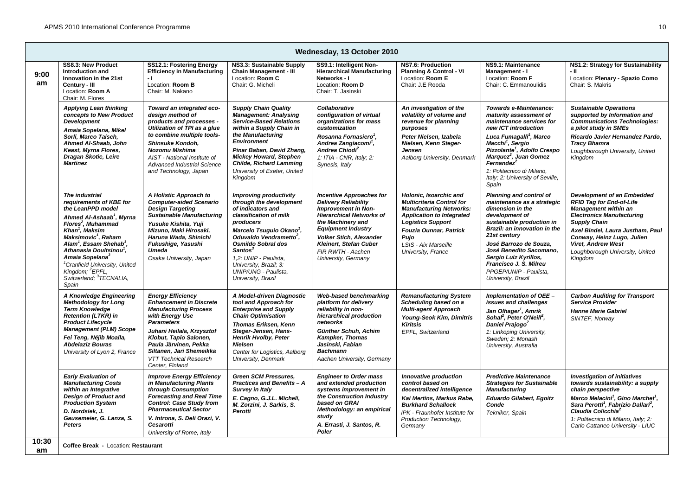|            | Wednesday, 13 October 2010                                                                                                                                                                                                                                                                                                                                                                                                                                     |                                                                                                                                                                                                                                                                                                    |                                                                                                                                                                                                                                                                                                                                             |                                                                                                                                                                                                                                                                                           |                                                                                                                                                                                                                                              |                                                                                                                                                                                                                                                                                                                                                                 |                                                                                                                                                                                                                                                                                                                                       |  |  |  |
|------------|----------------------------------------------------------------------------------------------------------------------------------------------------------------------------------------------------------------------------------------------------------------------------------------------------------------------------------------------------------------------------------------------------------------------------------------------------------------|----------------------------------------------------------------------------------------------------------------------------------------------------------------------------------------------------------------------------------------------------------------------------------------------------|---------------------------------------------------------------------------------------------------------------------------------------------------------------------------------------------------------------------------------------------------------------------------------------------------------------------------------------------|-------------------------------------------------------------------------------------------------------------------------------------------------------------------------------------------------------------------------------------------------------------------------------------------|----------------------------------------------------------------------------------------------------------------------------------------------------------------------------------------------------------------------------------------------|-----------------------------------------------------------------------------------------------------------------------------------------------------------------------------------------------------------------------------------------------------------------------------------------------------------------------------------------------------------------|---------------------------------------------------------------------------------------------------------------------------------------------------------------------------------------------------------------------------------------------------------------------------------------------------------------------------------------|--|--|--|
| 9:00<br>am | SS8.3: New Product<br>Introduction and<br>Innovation in the 21st<br>Century - III<br>Location: Room A<br>Chair: M. Flores                                                                                                                                                                                                                                                                                                                                      | SS12.1: Fostering Energy<br><b>Efficiency in Manufacturing</b><br>- 1<br>Location: Room B<br>Chair: M. Nakano                                                                                                                                                                                      | NS3.3: Sustainable Supply<br><b>Chain Management - III</b><br>Location: Room C<br>Chair: G. Micheli                                                                                                                                                                                                                                         | SS9.1: Intelligent Non-<br><b>Hierarchical Manufacturing</b><br>Networks - I<br>Location: Room D<br>Chair: T. Jasinski                                                                                                                                                                    | NS7.6: Production<br>Planning & Control - VI<br>Location: Room E<br>Chair: J.E Rooda                                                                                                                                                         | NS9.1: Maintenance<br>Management - I<br>Location: Room F<br>Chair: C. Emmanoulidis                                                                                                                                                                                                                                                                              | NS1.2: Strategy for Sustainability<br>- 11<br>Location: Plenary - Spazio Como<br>Chair: S. Makris                                                                                                                                                                                                                                     |  |  |  |
|            | <b>Applying Lean thinking</b><br>concepts to New Product<br><b>Development</b><br>Amaia Sopelana, Mikel<br>Sorli, Marco Taisch,<br>Ahmed Al-Shaab, John<br>Keast, Myrna Flores,<br>Dragan Skotic, Leire<br><b>Martinez</b>                                                                                                                                                                                                                                     | Toward an integrated eco-<br>design method of<br>products and processes -<br>Utilization of TPI as a glue<br>to combine multiple tools-<br>Shinsuke Kondoh,<br>Nozomu Mishima<br>AIST - National Institute of<br>Advanced Industrial Science<br>and Technology, Japan                              | <b>Supply Chain Quality</b><br><b>Management: Analysing</b><br><b>Service-Based Relations</b><br>within a Supply Chain in<br>the Manufacturing<br><b>Environment</b><br>Pinar Baban, David Zhang,<br><b>Mickey Howard, Stephen</b><br><b>Childe, Richard Lamming</b><br>University of Exeter, United<br>Kingdom                             | Collaborative<br>configuration of virtual<br>organizations for mass<br>customization<br>Rosanna Fornasiero <sup>1</sup> ,<br>Andrea Zangiacomi <sup>1</sup> ,<br>Andrea Chiodi <sup>2</sup><br>1: ITIA - CNR, Italy; 2:<br>Synesis, Italy                                                 | An investigation of the<br>volatility of volume and<br>revenue for planning<br>purposes<br>Peter Nielsen, Izabela<br>Nielsen, Kenn Steger-<br><b>Jensen</b><br>Aalborg University, Denmark                                                   | Towards e-Maintenance:<br>maturity assessment of<br>maintenance services for<br>new ICT introduction<br>Luca Fumagalli <sup>1</sup> , Marco<br>Macchi <sup>1</sup> , Sergio<br>Pizzolante <sup>1</sup> , Adolfo Crespo<br>Marquez <sup>2</sup> , Juan Gomez<br>Fernandez <sup>2</sup><br>1: Politecnico di Milano.<br>Italy; 2: University of Seville,<br>Spain | <b>Sustainable Operations</b><br>supported by Information and<br><b>Communications Technologies:</b><br>a pilot study in SMEs<br>Ricardo Javier Hernandez Pardo,<br><b>Tracy Bhamra</b><br>Loughborough University, United<br>Kingdom                                                                                                 |  |  |  |
|            | The industrial<br>requirements of KBE for<br>the LeanPPD model<br>Ahmed Al-Ashaab <sup>1</sup> , Myrna<br>Flores <sup>2</sup> , Muhammad<br>Khan <sup>1</sup> . Maksim<br>Maksimovic <sup>1</sup> , Raham<br>Alam <sup>1</sup> , Essam Shehab <sup>1</sup> ,<br>Athanasia Doultsinou <sup>1</sup> ,<br>Amaia Sopelana <sup>3</sup><br><sup>1</sup> Cranfield University, United<br>Kingdom: <sup>2</sup> EPFL.<br>Switzerland; <sup>3</sup> TECNALIA,<br>Spain | A Holistic Approach to<br><b>Computer-aided Scenario</b><br><b>Design Targeting</b><br><b>Sustainable Manufacturing</b><br>Yusuke Kishita, Yuji<br>Mizuno, Maki Hirosaki,<br>Haruna Wada, Shinichi<br>Fukushige, Yasushi<br><b>Umeda</b><br>Osaka University, Japan                                | <b>Improving productivity</b><br>through the development<br>of indicators and<br>classification of milk<br>producers<br>Marcelo Tsuguio Okano',<br>Oduvaldo Vendrametto <sup>2</sup> ,<br><b>Osmildo Sobral dos</b><br>Santos <sup>3</sup><br>1,2: UNIP - Paulista.<br>University, Brazil; 3:<br>UNIP/UNG - Paulista.<br>University, Brazil | <b>Incentive Approaches for</b><br><b>Delivery Reliability</b><br><b>Improvement in Non-</b><br><b>Hierarchical Networks of</b><br>the Machinery and<br><b>Equipment Industry</b><br><b>Volker Stich, Alexander</b><br>Kleinert, Stefan Cuber<br>FIR RWTH - Aachen<br>University, Germany | Holonic, Isoarchic and<br><b>Multicriteria Control for</b><br><b>Manufacturing Networks:</b><br><b>Application to Integrated</b><br><b>Logistics Support</b><br>Fouzia Ounnar, Patrick<br>Pujo<br>LSIS - Aix Marseille<br>University, France | Planning and control of<br>maintenance as a strategic<br>dimension in the<br>development of<br>sustainable production in<br>Brazil: an innovation in the<br>21st century<br>José Barrozo de Souza,<br>José Benedito Sacomano,<br>Sergio Luiz Kyrillos,<br>Francisco J. S. Milreu<br>PPGEP/UNIP - Paulista.<br>University, Brazil                                | <b>Development of an Embedded</b><br><b>RFID Tag for End-of-Life</b><br><b>Management within an</b><br><b>Electronics Manufacturing</b><br><b>Supply Chain</b><br>Axel Bindel, Laura Justham, Paul<br>Conway, Heinz Lugo, Julien<br><b>Viret, Andrew West</b><br>Loughborough University, United<br>Kingdom                           |  |  |  |
|            | A Knowledge Engineering<br><b>Methodology for Long</b><br><b>Term Knowledge</b><br><b>Retention (LTKR) in</b><br><b>Product Lifecycle</b><br><b>Management (PLM) Scope</b><br>Fei Teng, Néjib Moalla,<br><b>Abdelaziz Bouras</b><br>University of Lyon 2, France                                                                                                                                                                                               | <b>Energy Efficiency</b><br><b>Enhancement in Discrete</b><br><b>Manufacturing Process</b><br>with Energy Use<br><b>Parameters</b><br>Juhani Heilala, Krzysztof<br>Klobut, Tapio Salonen,<br>Paula Järvinen, Pekka<br>Siltanen, Jari Shemeikka<br><b>VTT Technical Research</b><br>Center, Finland | A Model-driven Diagnostic<br>tool and Approach for<br><b>Enterprise and Supply</b><br><b>Chain Optimisation</b><br>Thomas Eriksen, Kenn<br>Steger-Jensen, Hans-<br>Henrik Hvolby, Peter<br><b>Nielsen</b><br>Center for Logistics, Aalborg<br>University, Denmark                                                                           | Web-based benchmarking<br>platform for delivery<br>reliability in non-<br>hierarchical production<br>networks<br>Günther Schuh, Achim<br><b>Kampker, Thomas</b><br>Jasinski, Fabian<br><b>Bachmann</b><br>Aachen University, Germany                                                      | <b>Remanufacturing System</b><br>Scheduling based on a<br><b>Multi-agent Approach</b><br>Young-Seok Kim, Dimitris<br><b>Kiritsis</b><br>EPFL, Switzerland                                                                                    | Implementation of OEE -<br>issues and challenges<br>Jan Olhager <sup>1</sup> , Amrik<br>Sohal <sup>2</sup> , Peter O'Neill <sup>2</sup> ,<br>Daniel Prajogo <sup>2</sup><br>1: Linkoping University,<br>Sweden; 2: Monash<br>University, Australia                                                                                                              | <b>Carbon Auditing for Transport</b><br><b>Service Provider</b><br><b>Hanne Marie Gabriel</b><br>SINTEF, Norway                                                                                                                                                                                                                       |  |  |  |
| 10:30      | <b>Early Evaluation of</b><br><b>Manufacturing Costs</b><br>within an Integrative<br><b>Design of Product and</b><br><b>Production System</b><br>D. Nordsiek, J.<br>Gausemeier, G. Lanza, S.<br><b>Peters</b>                                                                                                                                                                                                                                                  | <b>Improve Energy Efficiency</b><br>in Manufacturing Plants<br>through Consumption<br><b>Forecasting and Real Time</b><br><b>Control: Case Study from</b><br><b>Pharmaceutical Sector</b><br>V. Introna, S. Deli Orazi, V.<br><b>Cesarotti</b><br>University of Rome, Italy                        | <b>Green SCM Pressures,</b><br><b>Practices and Benefits - A</b><br>Survey in Italy<br>E. Cagno, G.J.L. Micheli,<br>M. Zorzini, J. Sarkis, S.<br>Perotti                                                                                                                                                                                    | <b>Engineer to Order mass</b><br>and extended production<br>systems improvement in<br>the Construction Industry<br>based on GRAI<br>Methodology: an empirical<br>study<br>A. Errasti, J. Santos, R.<br>Poler                                                                              | Innovative production<br>control based on<br>decentralized intelligence<br>Kai Mertins, Markus Rabe,<br><b>Burkhard Schallock</b><br>IPK - Fraunhofer Institute for<br>Production Technology,<br>Germany                                     | <b>Predictive Maintenance</b><br><b>Strategies for Sustainable</b><br><b>Manufacturing</b><br><b>Eduardo Gilabert, Egoitz</b><br>Conde<br>Tekniker, Spain                                                                                                                                                                                                       | <b>Investigation of initiatives</b><br>towards sustainability: a supply<br>chain perspective<br>Marco Melacini <sup>1</sup> , Gino Marchet <sup>1</sup> ,<br>Sara Perotti <sup>1</sup> , Fabrizio Dallari <sup>2</sup> ,<br>Claudia Colicchia <sup>2</sup><br>1: Politecnico di Milano, Italy; 2:<br>Carlo Cattaneo University - LIUC |  |  |  |
| am         | Coffee Break - Location: Restaurant                                                                                                                                                                                                                                                                                                                                                                                                                            |                                                                                                                                                                                                                                                                                                    |                                                                                                                                                                                                                                                                                                                                             |                                                                                                                                                                                                                                                                                           |                                                                                                                                                                                                                                              |                                                                                                                                                                                                                                                                                                                                                                 |                                                                                                                                                                                                                                                                                                                                       |  |  |  |